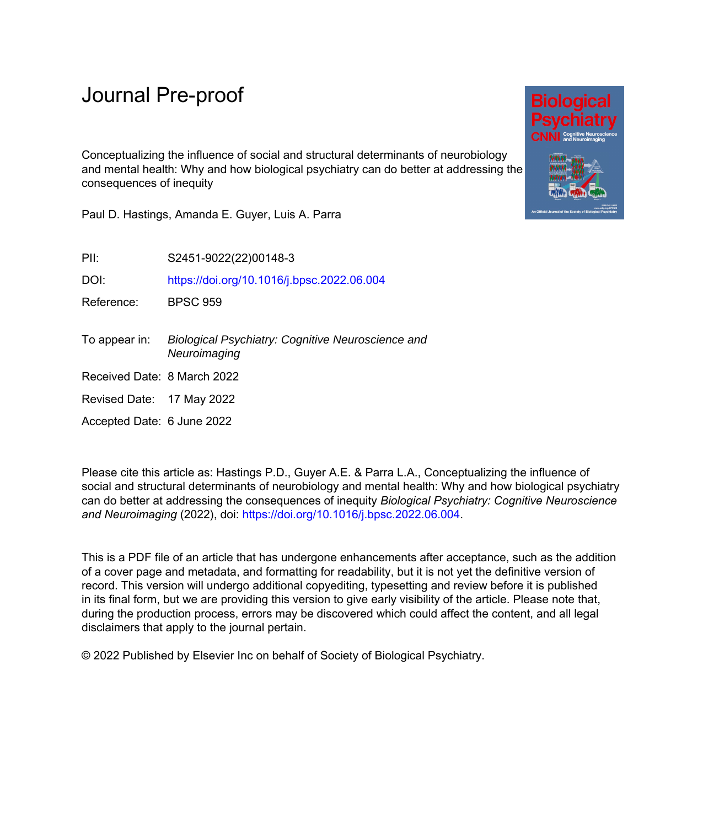Conceptualizing the influence of social and structural determinants of neurobiology and mental health: Why and how biological psychiatry can do better at addressing the consequences of inequity

Paul D. Hastings, Amanda E. Guyer, Luis A. Parra

PII: S2451-9022(22)00148-3

DOI: <https://doi.org/10.1016/j.bpsc.2022.06.004>

Reference: BPSC 959

- To appear in: Biological Psychiatry: Cognitive Neuroscience and **Neuroimaging**
- Received Date: 8 March 2022
- Revised Date: 17 May 2022

Accepted Date: 6 June 2022

Please cite this article as: Hastings P.D., Guyer A.E. & Parra L.A., Conceptualizing the influence of social and structural determinants of neurobiology and mental health: Why and how biological psychiatry can do better at addressing the consequences of inequity *Biological Psychiatry: Cognitive Neuroscience and Neuroimaging* (2022), doi: <https://doi.org/10.1016/j.bpsc.2022.06.004>.

This is a PDF file of an article that has undergone enhancements after acceptance, such as the addition of a cover page and metadata, and formatting for readability, but it is not yet the definitive version of record. This version will undergo additional copyediting, typesetting and review before it is published in its final form, but we are providing this version to give early visibility of the article. Please note that, during the production process, errors may be discovered which could affect the content, and all legal disclaimers that apply to the journal pertain.

© 2022 Published by Elsevier Inc on behalf of Society of Biological Psychiatry.

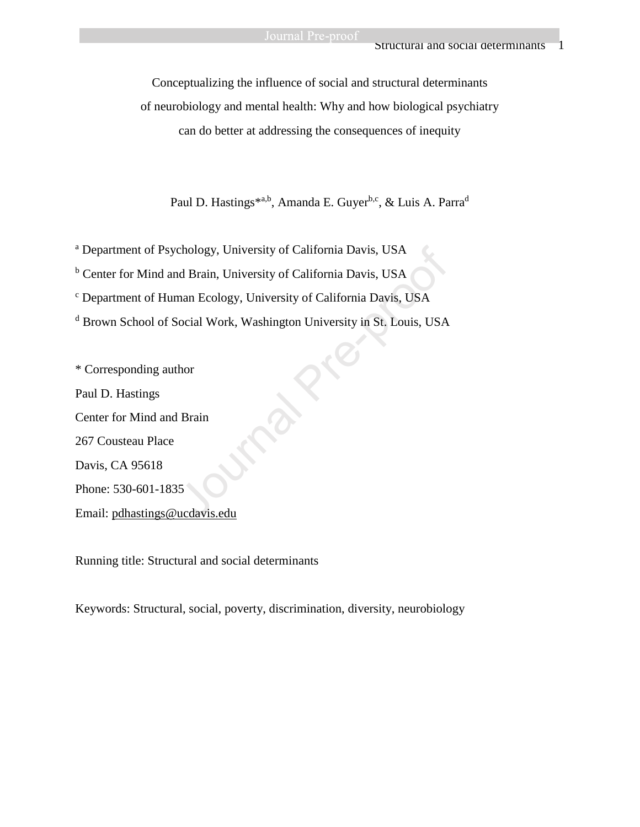Conceptualizing the influence of social and structural determinants of neurobiology and mental health: Why and how biological psychiatry can do better at addressing the consequences of inequity

Paul D. Hastings\*a,b, Amanda E. Guyer<sup>b,c</sup>, & Luis A. Parra<sup>d</sup>

<sup>a</sup> Department of Psychology, University of California Davis, USA

<sup>b</sup> Center for Mind and Brain, University of California Davis, USA

<sup>c</sup> Department of Human Ecology, University of California Davis, USA

<sup>d</sup> Brown School of Social Work, Washington University in St. Louis, USA

\* Corresponding author Paul D. Hastings Center for Mind and Brain 267 Cousteau Place Davis, CA 95618 Phone: 530-601-1835 Email: [pdhastings@ucdavis.edu](mailto:pdhastings@ucdavis.edu) chology, University of California Davis, USA<br>dd Brain, University of California Davis, USA<br>nan Ecology, University of California Davis, USA<br>ocial Work, Washington University in St. Louis, USA<br>hor<br>Brain<br>Brain<br>5<br>sucdavis.edu

Running title: Structural and social determinants

Keywords: Structural, social, poverty, discrimination, diversity, neurobiology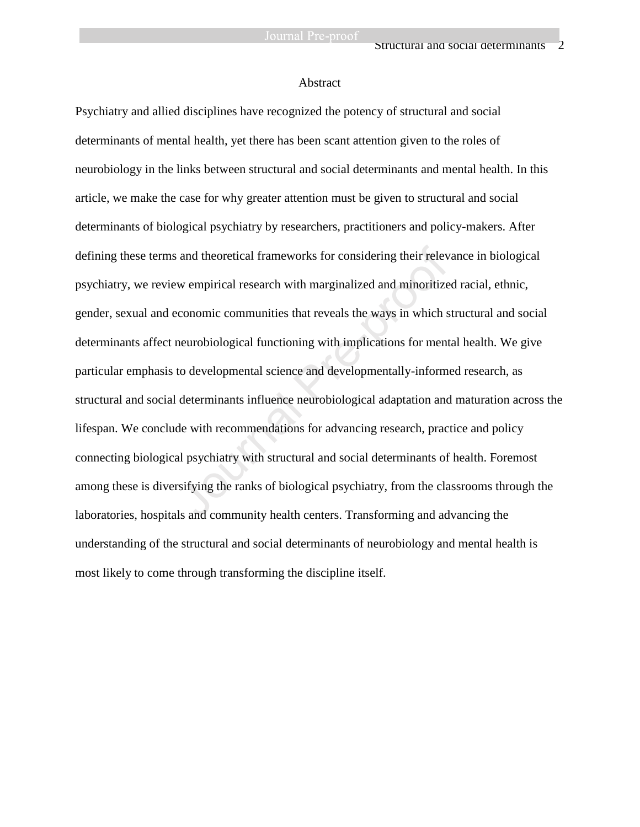#### Abstract

Psychiatry and allied disciplines have recognized the potency of structural and social determinants of mental health, yet there has been scant attention given to the roles of neurobiology in the links between structural and social determinants and mental health. In this article, we make the case for why greater attention must be given to structural and social determinants of biological psychiatry by researchers, practitioners and policy-makers. After defining these terms and theoretical frameworks for considering their relevance in biological psychiatry, we review empirical research with marginalized and minoritized racial, ethnic, gender, sexual and economic communities that reveals the ways in which structural and social determinants affect neurobiological functioning with implications for mental health. We give particular emphasis to developmental science and developmentally-informed research, as structural and social determinants influence neurobiological adaptation and maturation across the lifespan. We conclude with recommendations for advancing research, practice and policy connecting biological psychiatry with structural and social determinants of health. Foremost among these is diversifying the ranks of biological psychiatry, from the classrooms through the laboratories, hospitals and community health centers. Transforming and advancing the understanding of the structural and social determinants of neurobiology and mental health is most likely to come through transforming the discipline itself. and theoretical frameworks for considering their relev<br>w empirical research with marginalized and minoritize<br>conomic communities that reveals the ways in which s<br>neurobiological functioning with implications for ment<br>to de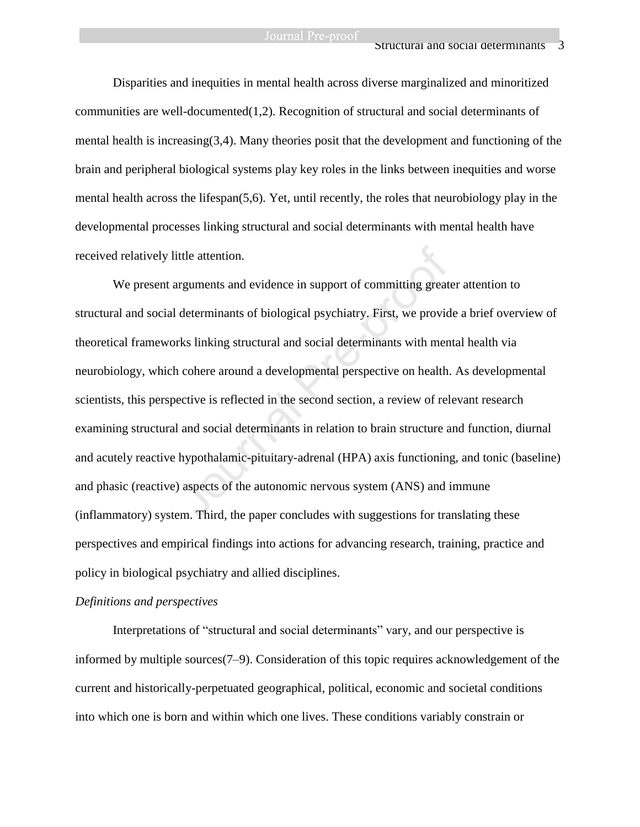#### Structural and social determinants

Disparities and inequities in mental health across diverse marginalized and minoritized communities are well-documented $(1,2)$ . Recognition of structural and social determinants of mental health is increasing(3,4). Many theories posit that the development and functioning of the brain and peripheral biological systems play key roles in the links between inequities and worse mental health across the lifespan(5,6). Yet, until recently, the roles that neurobiology play in the developmental processes linking structural and social determinants with mental health have received relatively little attention.

We present arguments and evidence in support of committing greater attention to structural and social determinants of biological psychiatry. First, we provide a brief overview of theoretical frameworks linking structural and social determinants with mental health via neurobiology, which cohere around a developmental perspective on health. As developmental scientists, this perspective is reflected in the second section, a review of relevant research examining structural and social determinants in relation to brain structure and function, diurnal and acutely reactive hypothalamic-pituitary-adrenal (HPA) axis functioning, and tonic (baseline) and phasic (reactive) aspects of the autonomic nervous system (ANS) and immune (inflammatory) system. Third, the paper concludes with suggestions for translating these perspectives and empirical findings into actions for advancing research, training, practice and policy in biological psychiatry and allied disciplines. ittle attention.<br>
Internal and evidence in support of committing great<br>
determinants of biological psychiatry. First, we provid<br>
Internal Pre-providing structural and social determinants with men<br>
a cohere around a develop

#### *Definitions and perspectives*

Interpretations of "structural and social determinants" vary, and our perspective is informed by multiple sources(7–9). Consideration of this topic requires acknowledgement of the current and historically-perpetuated geographical, political, economic and societal conditions into which one is born and within which one lives. These conditions variably constrain or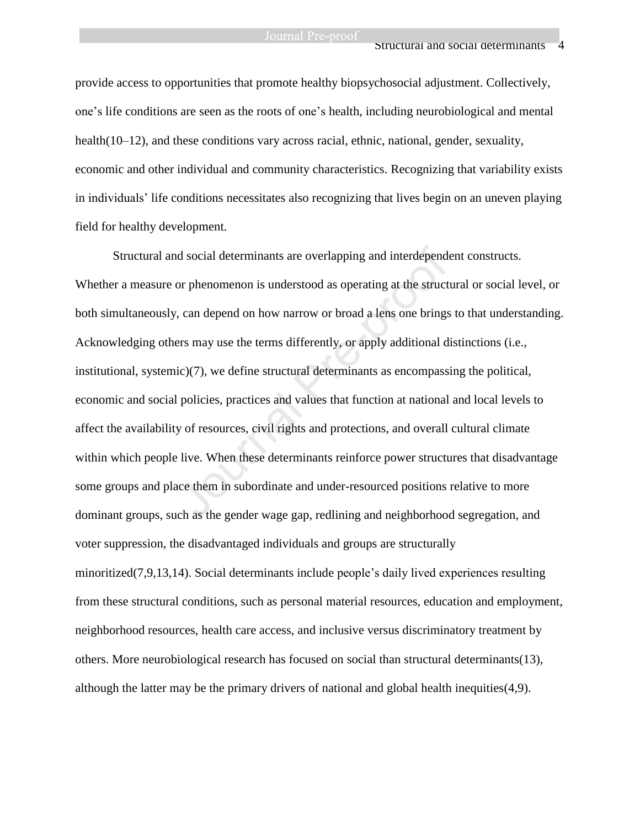provide access to opportunities that promote healthy biopsychosocial adjustment. Collectively, one's life conditions are seen as the roots of one's health, including neurobiological and mental health(10–12), and these conditions vary across racial, ethnic, national, gender, sexuality, economic and other individual and community characteristics. Recognizing that variability exists in individuals' life conditions necessitates also recognizing that lives begin on an uneven playing field for healthy development.

Structural and social determinants are overlapping and interdependent constructs. Whether a measure or phenomenon is understood as operating at the structural or social level, or both simultaneously, can depend on how narrow or broad a lens one brings to that understanding. Acknowledging others may use the terms differently, or apply additional distinctions (i.e., institutional, systemic)(7), we define structural determinants as encompassing the political, economic and social policies, practices and values that function at national and local levels to affect the availability of resources, civil rights and protections, and overall cultural climate within which people live. When these determinants reinforce power structures that disadvantage some groups and place them in subordinate and under-resourced positions relative to more dominant groups, such as the gender wage gap, redlining and neighborhood segregation, and voter suppression, the disadvantaged individuals and groups are structurally minoritized(7,9,13,14). Social determinants include people's daily lived experiences resulting from these structural conditions, such as personal material resources, education and employment, neighborhood resources, health care access, and inclusive versus discriminatory treatment by others. More neurobiological research has focused on social than structural determinants(13), although the latter may be the primary drivers of national and global health inequities(4,9). d social determinants are overlapping and interdepends<br>or phenomenon is understood as operating at the struct<br>, can depend on how narrow or broad a lens one brings<br>ers may use the terms differently, or apply additional d<br>i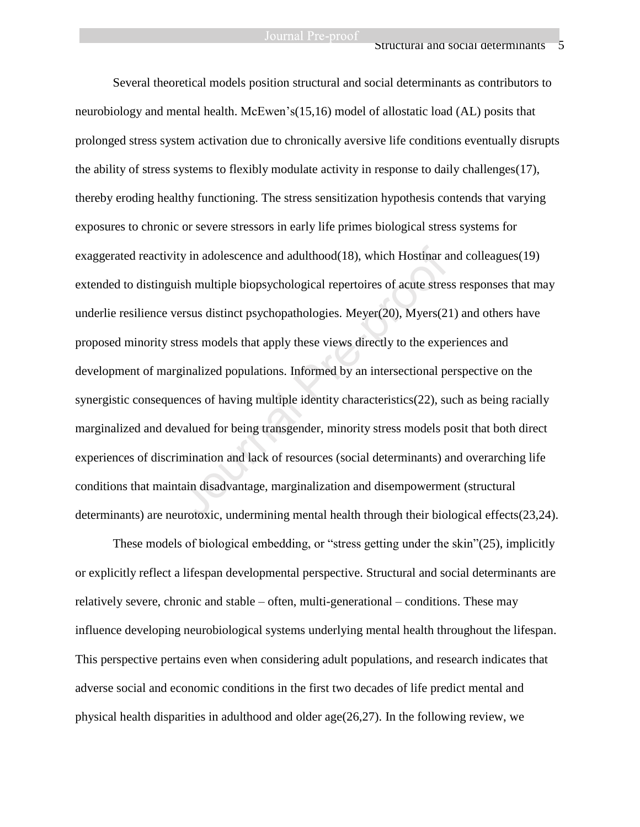Several theoretical models position structural and social determinants as contributors to neurobiology and mental health. McEwen's(15,16) model of allostatic load (AL) posits that prolonged stress system activation due to chronically aversive life conditions eventually disrupts the ability of stress systems to flexibly modulate activity in response to daily challenges(17), thereby eroding healthy functioning. The stress sensitization hypothesis contends that varying exposures to chronic or severe stressors in early life primes biological stress systems for exaggerated reactivity in adolescence and adulthood(18), which Hostinar and colleagues(19) extended to distinguish multiple biopsychological repertoires of acute stress responses that may underlie resilience versus distinct psychopathologies. Meyer(20), Myers(21) and others have proposed minority stress models that apply these views directly to the experiences and development of marginalized populations. Informed by an intersectional perspective on the synergistic consequences of having multiple identity characteristics(22), such as being racially marginalized and devalued for being transgender, minority stress models posit that both direct experiences of discrimination and lack of resources (social determinants) and overarching life conditions that maintain disadvantage, marginalization and disempowerment (structural determinants) are neurotoxic, undermining mental health through their biological effects(23,24). ty in adolescence and adulthood(18), which Hostinar a<br>ish multiple biopsychological repertoires of acute stres<br>ersus distinct psychopathologies. Meyer(20), Myers(2<br>tress models that apply these views directly to the expe<br>g

These models of biological embedding, or "stress getting under the skin"(25), implicitly or explicitly reflect a lifespan developmental perspective. Structural and social determinants are relatively severe, chronic and stable – often, multi-generational – conditions. These may influence developing neurobiological systems underlying mental health throughout the lifespan. This perspective pertains even when considering adult populations, and research indicates that adverse social and economic conditions in the first two decades of life predict mental and physical health disparities in adulthood and older age(26,27). In the following review, we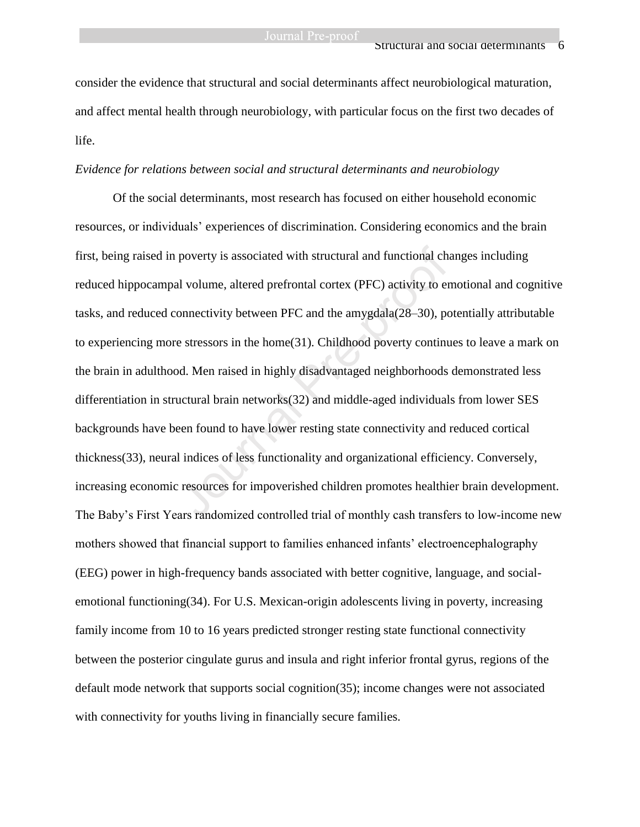consider the evidence that structural and social determinants affect neurobiological maturation, and affect mental health through neurobiology, with particular focus on the first two decades of life.

#### *Evidence for relations between social and structural determinants and neurobiology*

Of the social determinants, most research has focused on either household economic resources, or individuals' experiences of discrimination. Considering economics and the brain first, being raised in poverty is associated with structural and functional changes including reduced hippocampal volume, altered prefrontal cortex (PFC) activity to emotional and cognitive tasks, and reduced connectivity between PFC and the amygdala(28–30), potentially attributable to experiencing more stressors in the home(31). Childhood poverty continues to leave a mark on the brain in adulthood. Men raised in highly disadvantaged neighborhoods demonstrated less differentiation in structural brain networks(32) and middle-aged individuals from lower SES backgrounds have been found to have lower resting state connectivity and reduced cortical thickness(33), neural indices of less functionality and organizational efficiency. Conversely, increasing economic resources for impoverished children promotes healthier brain development. The Baby's First Years randomized controlled trial of monthly cash transfers to low-income new mothers showed that financial support to families enhanced infants' electroencephalography (EEG) power in high-frequency bands associated with better cognitive, language, and socialemotional functioning(34). For U.S. Mexican-origin adolescents living in poverty, increasing family income from 10 to 16 years predicted stronger resting state functional connectivity between the posterior cingulate gurus and insula and right inferior frontal gyrus, regions of the default mode network that supports social cognition(35); income changes were not associated with connectivity for youths living in financially secure families. poverty is associated with structural and functional chand<br>al volume, altered prefrontal cortex (PFC) activity to er<br>onnectivity between PFC and the amygdala(28–30), pe<br>e stressors in the home(31). Childhood poverty contin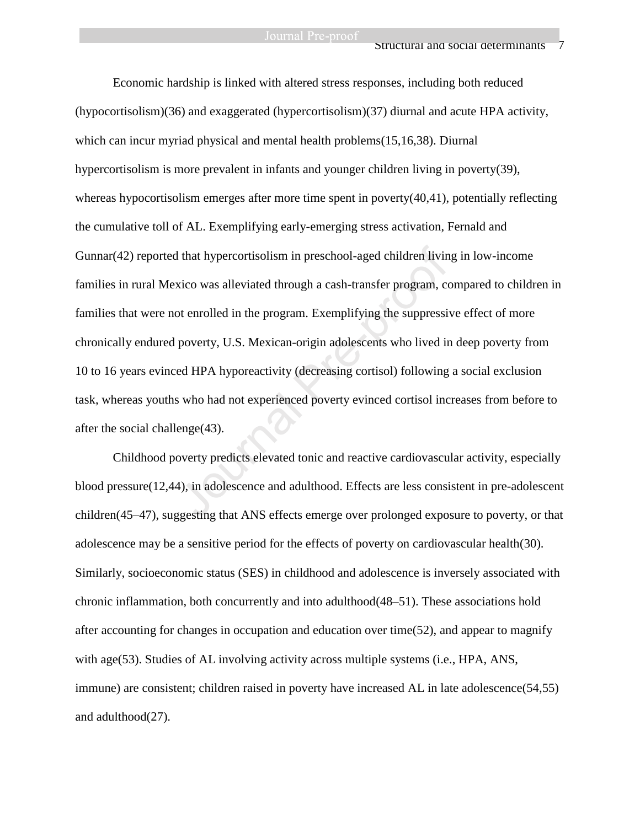Economic hardship is linked with altered stress responses, including both reduced (hypocortisolism)(36) and exaggerated (hypercortisolism)(37) diurnal and acute HPA activity, which can incur myriad physical and mental health problems(15,16,38). Diurnal hypercortisolism is more prevalent in infants and younger children living in poverty(39), whereas hypocortisolism emerges after more time spent in poverty $(40,41)$ , potentially reflecting the cumulative toll of AL. Exemplifying early-emerging stress activation, Fernald and Gunnar(42) reported that hypercortisolism in preschool-aged children living in low-income families in rural Mexico was alleviated through a cash-transfer program, compared to children in families that were not enrolled in the program. Exemplifying the suppressive effect of more chronically endured poverty, U.S. Mexican-origin adolescents who lived in deep poverty from 10 to 16 years evinced HPA hyporeactivity (decreasing cortisol) following a social exclusion task, whereas youths who had not experienced poverty evinced cortisol increases from before to after the social challenge(43). I that hypercortisolism in preschool-aged children livin<br>vico was alleviated through a cash-transfer program, co<br>ot enrolled in the program. Exemplifying the suppressi-<br>poverty, U.S. Mexican-origin adolescents who lived in

Childhood poverty predicts elevated tonic and reactive cardiovascular activity, especially blood pressure(12,44), in adolescence and adulthood. Effects are less consistent in pre-adolescent children(45–47), suggesting that ANS effects emerge over prolonged exposure to poverty, or that adolescence may be a sensitive period for the effects of poverty on cardiovascular health(30). Similarly, socioeconomic status (SES) in childhood and adolescence is inversely associated with chronic inflammation, both concurrently and into adulthood(48–51). These associations hold after accounting for changes in occupation and education over time(52), and appear to magnify with age(53). Studies of AL involving activity across multiple systems (i.e., HPA, ANS, immune) are consistent; children raised in poverty have increased AL in late adolescence(54,55) and adulthood(27).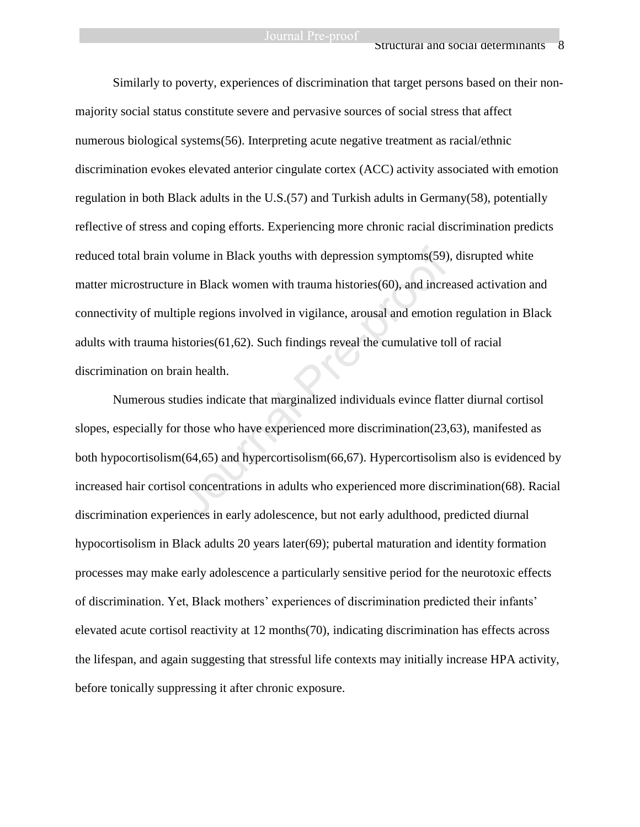Similarly to poverty, experiences of discrimination that target persons based on their nonmajority social status constitute severe and pervasive sources of social stress that affect numerous biological systems(56). Interpreting acute negative treatment as racial/ethnic discrimination evokes elevated anterior cingulate cortex (ACC) activity associated with emotion regulation in both Black adults in the U.S.(57) and Turkish adults in Germany(58), potentially reflective of stress and coping efforts. Experiencing more chronic racial discrimination predicts reduced total brain volume in Black youths with depression symptoms(59), disrupted white matter microstructure in Black women with trauma histories(60), and increased activation and connectivity of multiple regions involved in vigilance, arousal and emotion regulation in Black adults with trauma histories(61,62). Such findings reveal the cumulative toll of racial discrimination on brain health. volume in Black youths with depression symptoms(59)<br>
ie in Black women with trauma histories(60), and incre<br>
iple regions involved in vigilance, arousal and emotior<br>
istories(61,62). Such findings reveal the cumulative to

Numerous studies indicate that marginalized individuals evince flatter diurnal cortisol slopes, especially for those who have experienced more discrimination(23,63), manifested as both hypocortisolism(64,65) and hypercortisolism(66,67). Hypercortisolism also is evidenced by increased hair cortisol concentrations in adults who experienced more discrimination(68). Racial discrimination experiences in early adolescence, but not early adulthood, predicted diurnal hypocortisolism in Black adults 20 years later(69); pubertal maturation and identity formation processes may make early adolescence a particularly sensitive period for the neurotoxic effects of discrimination. Yet, Black mothers' experiences of discrimination predicted their infants' elevated acute cortisol reactivity at 12 months(70), indicating discrimination has effects across the lifespan, and again suggesting that stressful life contexts may initially increase HPA activity, before tonically suppressing it after chronic exposure.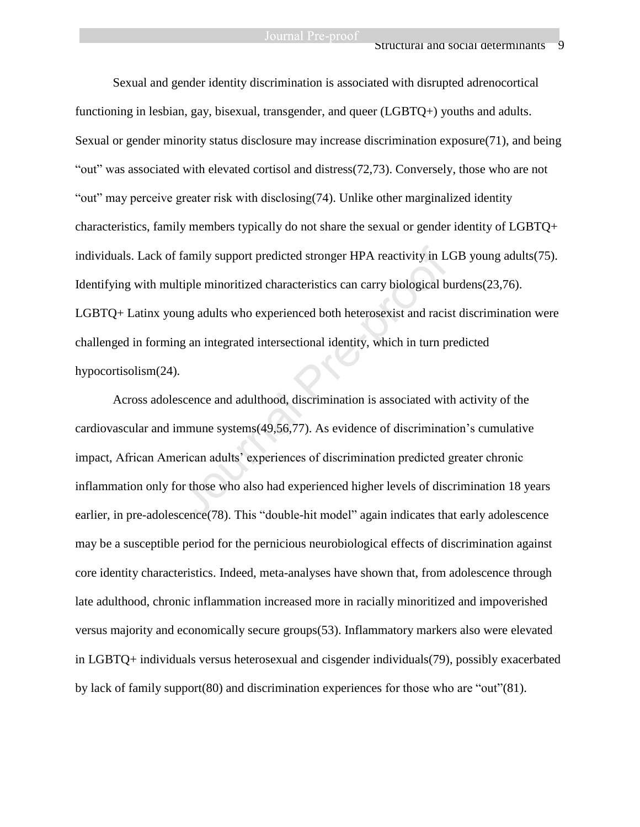### Structural and social determinants 9

Sexual and gender identity discrimination is associated with disrupted adrenocortical functioning in lesbian, gay, bisexual, transgender, and queer (LGBTQ+) youths and adults. Sexual or gender minority status disclosure may increase discrimination exposure(71), and being "out" was associated with elevated cortisol and distress(72,73). Conversely, those who are not "out" may perceive greater risk with disclosing(74). Unlike other marginalized identity characteristics, family members typically do not share the sexual or gender identity of LGBTQ+ individuals. Lack of family support predicted stronger HPA reactivity in LGB young adults(75). Identifying with multiple minoritized characteristics can carry biological burdens(23,76). LGBTQ+ Latinx young adults who experienced both heterosexist and racist discrimination were challenged in forming an integrated intersectional identity, which in turn predicted hypocortisolism(24). family support predicted stronger HPA reactivity in L<br>Itiple minoritized characteristics can carry biological b<br>ung adults who experienced both heterosexist and racis<br>ng an integrated intersectional identity, which in turn

Across adolescence and adulthood, discrimination is associated with activity of the cardiovascular and immune systems(49,56,77). As evidence of discrimination's cumulative impact, African American adults' experiences of discrimination predicted greater chronic inflammation only for those who also had experienced higher levels of discrimination 18 years earlier, in pre-adolescence(78). This "double-hit model" again indicates that early adolescence may be a susceptible period for the pernicious neurobiological effects of discrimination against core identity characteristics. Indeed, meta-analyses have shown that, from adolescence through late adulthood, chronic inflammation increased more in racially minoritized and impoverished versus majority and economically secure groups(53). Inflammatory markers also were elevated in LGBTQ+ individuals versus heterosexual and cisgender individuals(79), possibly exacerbated by lack of family support(80) and discrimination experiences for those who are "out"(81).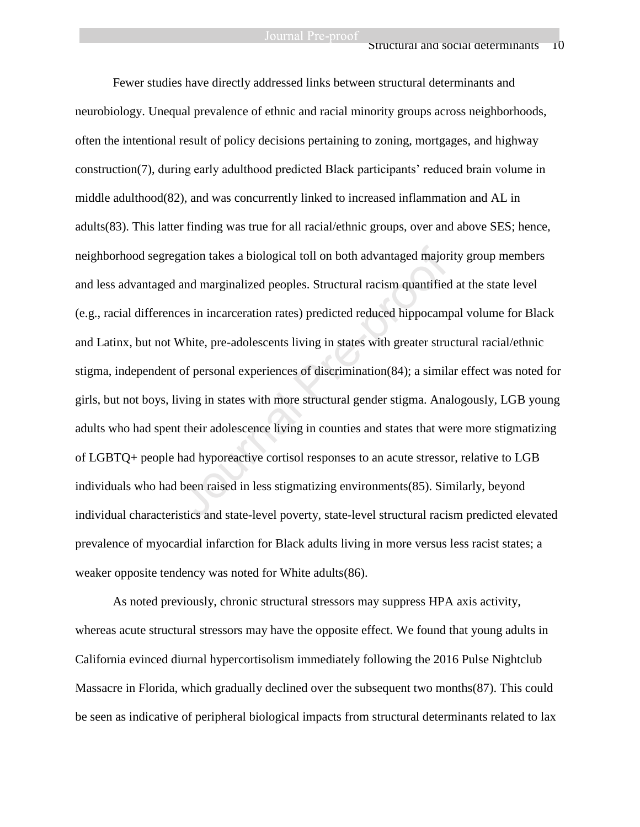Fewer studies have directly addressed links between structural determinants and neurobiology. Unequal prevalence of ethnic and racial minority groups across neighborhoods, often the intentional result of policy decisions pertaining to zoning, mortgages, and highway construction(7), during early adulthood predicted Black participants' reduced brain volume in middle adulthood(82), and was concurrently linked to increased inflammation and AL in adults(83). This latter finding was true for all racial/ethnic groups, over and above SES; hence, neighborhood segregation takes a biological toll on both advantaged majority group members and less advantaged and marginalized peoples. Structural racism quantified at the state level (e.g., racial differences in incarceration rates) predicted reduced hippocampal volume for Black and Latinx, but not White, pre-adolescents living in states with greater structural racial/ethnic stigma, independent of personal experiences of discrimination(84); a similar effect was noted for girls, but not boys, living in states with more structural gender stigma. Analogously, LGB young adults who had spent their adolescence living in counties and states that were more stigmatizing of LGBTQ+ people had hyporeactive cortisol responses to an acute stressor, relative to LGB individuals who had been raised in less stigmatizing environments(85). Similarly, beyond individual characteristics and state-level poverty, state-level structural racism predicted elevated prevalence of myocardial infarction for Black adults living in more versus less racist states; a weaker opposite tendency was noted for White adults(86). gation takes a biological toll on both advantaged major<br>and marginalized peoples. Structural racism quantifiec<br>ces in incarceration rates) predicted reduced hippocamy<br>White, pre-adolescents living in states with greater st

As noted previously, chronic structural stressors may suppress HPA axis activity, whereas acute structural stressors may have the opposite effect. We found that young adults in California evinced diurnal hypercortisolism immediately following the 2016 Pulse Nightclub Massacre in Florida, which gradually declined over the subsequent two months(87). This could be seen as indicative of peripheral biological impacts from structural determinants related to lax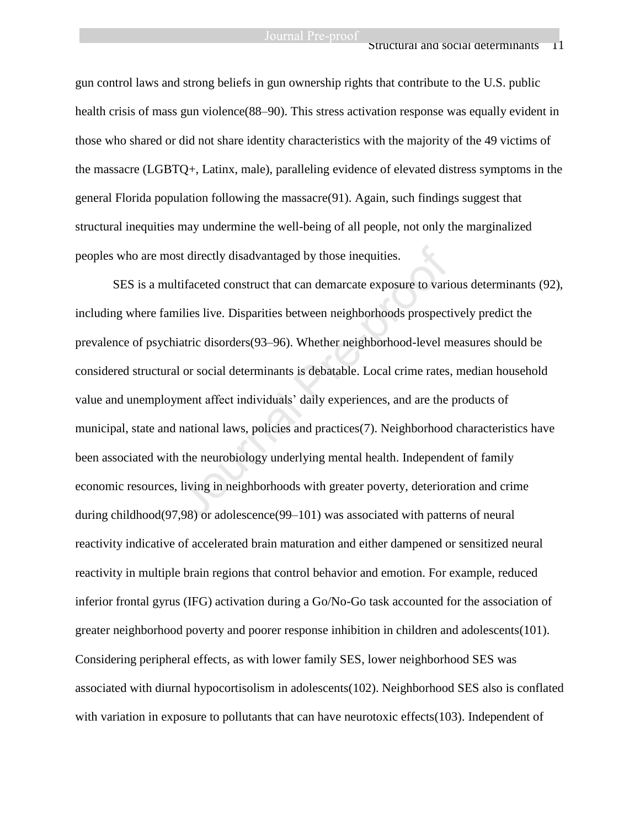#### Structural and social determinants 1

gun control laws and strong beliefs in gun ownership rights that contribute to the U.S. public health crisis of mass gun violence(88–90). This stress activation response was equally evident in those who shared or did not share identity characteristics with the majority of the 49 victims of the massacre (LGBTQ+, Latinx, male), paralleling evidence of elevated distress symptoms in the general Florida population following the massacre(91). Again, such findings suggest that structural inequities may undermine the well-being of all people, not only the marginalized peoples who are most directly disadvantaged by those inequities.

SES is a multifaceted construct that can demarcate exposure to various determinants (92), including where families live. Disparities between neighborhoods prospectively predict the prevalence of psychiatric disorders(93–96). Whether neighborhood-level measures should be considered structural or social determinants is debatable. Local crime rates, median household value and unemployment affect individuals' daily experiences, and are the products of municipal, state and national laws, policies and practices(7). Neighborhood characteristics have been associated with the neurobiology underlying mental health. Independent of family economic resources, living in neighborhoods with greater poverty, deterioration and crime during childhood(97,98) or adolescence(99–101) was associated with patterns of neural reactivity indicative of accelerated brain maturation and either dampened or sensitized neural reactivity in multiple brain regions that control behavior and emotion. For example, reduced inferior frontal gyrus (IFG) activation during a Go/No-Go task accounted for the association of greater neighborhood poverty and poorer response inhibition in children and adolescents(101). Considering peripheral effects, as with lower family SES, lower neighborhood SES was associated with diurnal hypocortisolism in adolescents(102). Neighborhood SES also is conflated with variation in exposure to pollutants that can have neurotoxic effects(103). Independent of st directly disadvantaged by those inequities.<br>tifaceted construct that can demarcate exposure to variable live. Disparities between neighborhoods prospect<br>iatric disorders(93–96). Whether neighborhood-level n<br>l or social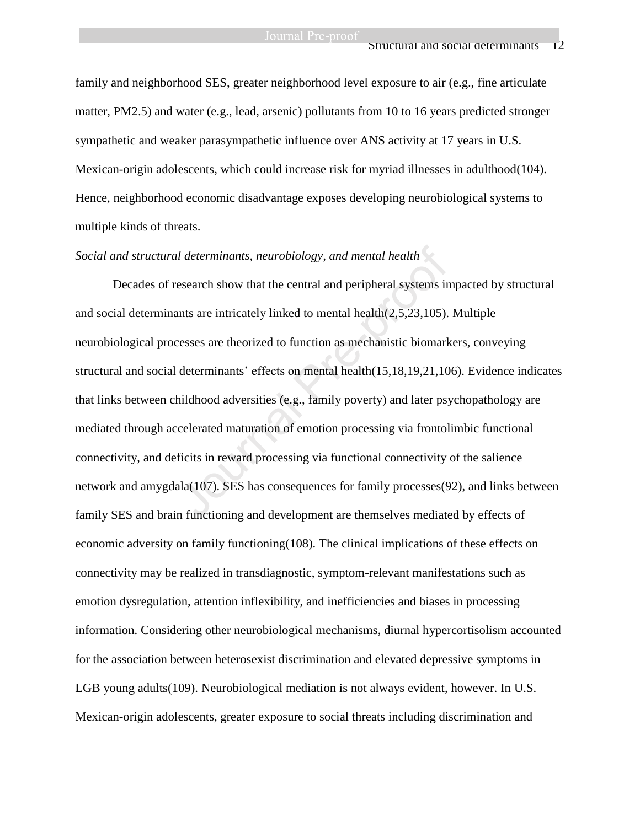family and neighborhood SES, greater neighborhood level exposure to air (e.g., fine articulate matter, PM2.5) and water (e.g., lead, arsenic) pollutants from 10 to 16 years predicted stronger sympathetic and weaker parasympathetic influence over ANS activity at 17 years in U.S. Mexican-origin adolescents, which could increase risk for myriad illnesses in adulthood(104). Hence, neighborhood economic disadvantage exposes developing neurobiological systems to multiple kinds of threats.

# *Social and structural determinants, neurobiology, and mental health*

Decades of research show that the central and peripheral systems impacted by structural and social determinants are intricately linked to mental health(2,5,23,105). Multiple neurobiological processes are theorized to function as mechanistic biomarkers, conveying structural and social determinants' effects on mental health(15,18,19,21,106). Evidence indicates that links between childhood adversities (e.g., family poverty) and later psychopathology are mediated through accelerated maturation of emotion processing via frontolimbic functional connectivity, and deficits in reward processing via functional connectivity of the salience network and amygdala(107). SES has consequences for family processes(92), and links between family SES and brain functioning and development are themselves mediated by effects of economic adversity on family functioning(108). The clinical implications of these effects on connectivity may be realized in transdiagnostic, symptom-relevant manifestations such as emotion dysregulation, attention inflexibility, and inefficiencies and biases in processing information. Considering other neurobiological mechanisms, diurnal hypercortisolism accounted for the association between heterosexist discrimination and elevated depressive symptoms in LGB young adults(109). Neurobiological mediation is not always evident, however. In U.S. Mexican-origin adolescents, greater exposure to social threats including discrimination and I determinants, neurobiology, and mental health<br>esearch show that the central and peripheral systems in<br>unts are intricately linked to mental health(2,5,23,105).<br>cesses are theorized to function as mechanistic biomark<br>dete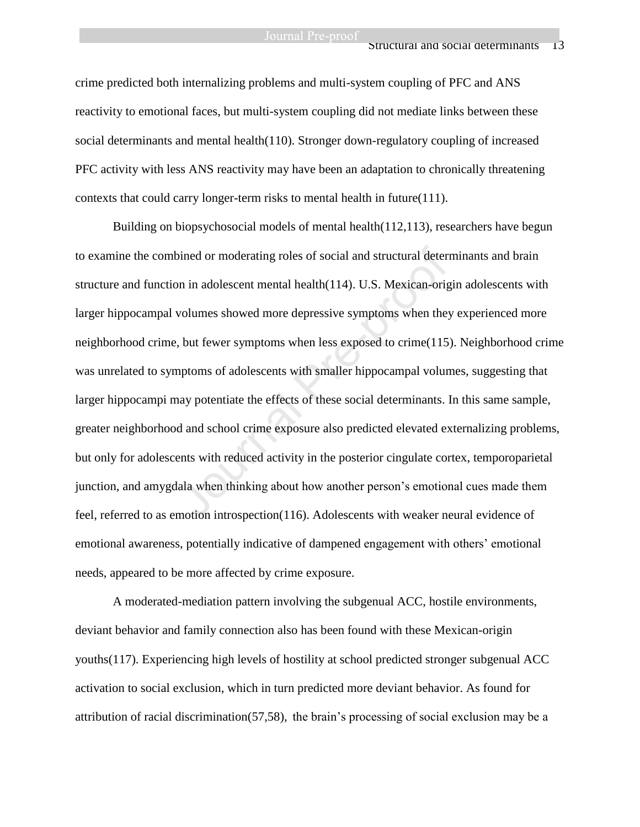crime predicted both internalizing problems and multi-system coupling of PFC and ANS reactivity to emotional faces, but multi-system coupling did not mediate links between these social determinants and mental health(110). Stronger down-regulatory coupling of increased PFC activity with less ANS reactivity may have been an adaptation to chronically threatening contexts that could carry longer-term risks to mental health in future(111).

Building on biopsychosocial models of mental health(112,113), researchers have begun to examine the combined or moderating roles of social and structural determinants and brain structure and function in adolescent mental health(114). U.S. Mexican-origin adolescents with larger hippocampal volumes showed more depressive symptoms when they experienced more neighborhood crime, but fewer symptoms when less exposed to crime(115). Neighborhood crime was unrelated to symptoms of adolescents with smaller hippocampal volumes, suggesting that larger hippocampi may potentiate the effects of these social determinants. In this same sample, greater neighborhood and school crime exposure also predicted elevated externalizing problems, but only for adolescents with reduced activity in the posterior cingulate cortex, temporoparietal junction, and amygdala when thinking about how another person's emotional cues made them feel, referred to as emotion introspection(116). Adolescents with weaker neural evidence of emotional awareness, potentially indicative of dampened engagement with others' emotional needs, appeared to be more affected by crime exposure. bined or moderating roles of social and structural determ<br>on in adolescent mental health(114). U.S. Mexican-orig<br>volumes showed more depressive symptoms when they<br>therefore showed more depressive symptoms when they<br>therefo

A moderated-mediation pattern involving the subgenual ACC, hostile environments, deviant behavior and family connection also has been found with these Mexican-origin youths(117). Experiencing high levels of hostility at school predicted stronger subgenual ACC activation to social exclusion, which in turn predicted more deviant behavior. As found for attribution of racial discrimination(57,58), the brain's processing of social exclusion may be a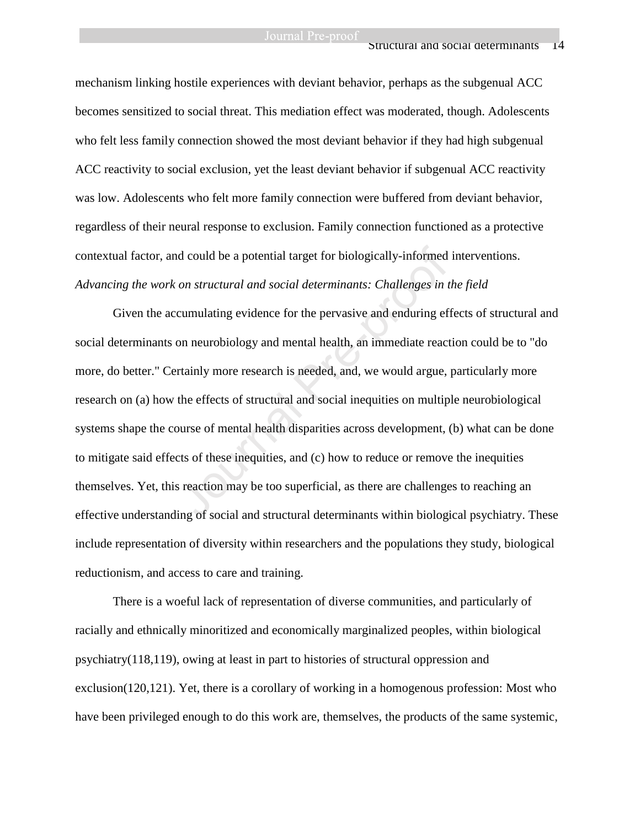#### Structural and social determinants 14

mechanism linking hostile experiences with deviant behavior, perhaps as the subgenual ACC becomes sensitized to social threat. This mediation effect was moderated, though. Adolescents who felt less family connection showed the most deviant behavior if they had high subgenual ACC reactivity to social exclusion, yet the least deviant behavior if subgenual ACC reactivity was low. Adolescents who felt more family connection were buffered from deviant behavior, regardless of their neural response to exclusion. Family connection functioned as a protective contextual factor, and could be a potential target for biologically-informed interventions. *Advancing the work on structural and social determinants: Challenges in the field*

Given the accumulating evidence for the pervasive and enduring effects of structural and social determinants on neurobiology and mental health, an immediate reaction could be to "do more, do better." Certainly more research is needed, and, we would argue, particularly more research on (a) how the effects of structural and social inequities on multiple neurobiological systems shape the course of mental health disparities across development, (b) what can be done to mitigate said effects of these inequities, and (c) how to reduce or remove the inequities themselves. Yet, this reaction may be too superficial, as there are challenges to reaching an effective understanding of social and structural determinants within biological psychiatry. These include representation of diversity within researchers and the populations they study, biological reductionism, and access to care and training. d could be a potential target for biologically-informed<br>on structural and social determinants: Challenges in t<br>cumulating evidence for the pervasive and enduring ef<br>on neurobiology and mental health, an immediate react<br>rta

There is a woeful lack of representation of diverse communities, and particularly of racially and ethnically minoritized and economically marginalized peoples, within biological psychiatry(118,119), owing at least in part to histories of structural oppression and exclusion(120,121). Yet, there is a corollary of working in a homogenous profession: Most who have been privileged enough to do this work are, themselves, the products of the same systemic,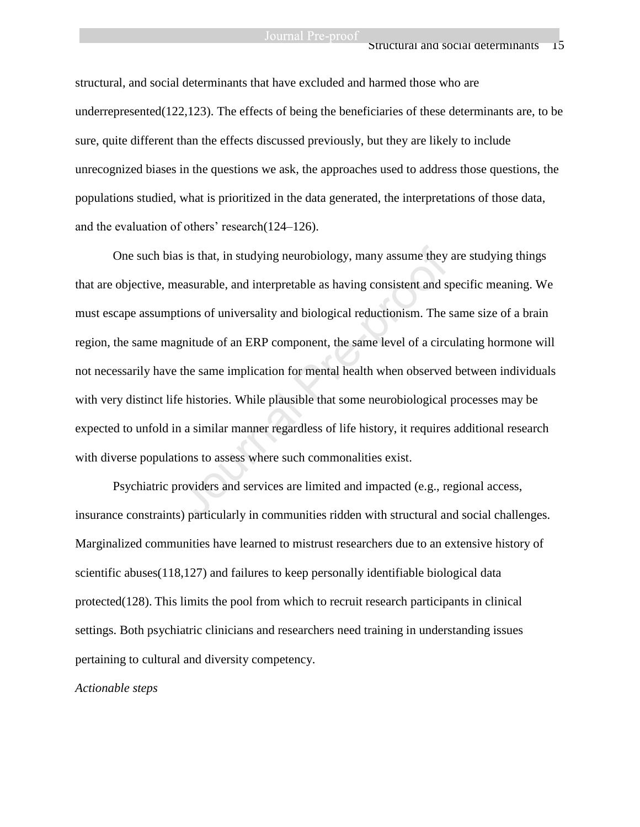structural, and social determinants that have excluded and harmed those who are underrepresented $(122,123)$ . The effects of being the beneficiaries of these determinants are, to be sure, quite different than the effects discussed previously, but they are likely to include unrecognized biases in the questions we ask, the approaches used to address those questions, the populations studied, what is prioritized in the data generated, the interpretations of those data, and the evaluation of others' research(124–126).

One such bias is that, in studying neurobiology, many assume they are studying things that are objective, measurable, and interpretable as having consistent and specific meaning. We must escape assumptions of universality and biological reductionism. The same size of a brain region, the same magnitude of an ERP component, the same level of a circulating hormone will not necessarily have the same implication for mental health when observed between individuals with very distinct life histories. While plausible that some neurobiological processes may be expected to unfold in a similar manner regardless of life history, it requires additional research with diverse populations to assess where such commonalities exist. is is that, in studying neurobiology, many assume they<br>easurable, and interpretable as having consistent and s<br>tions of universality and biological reductionism. The<br>gnitude of an ERP component, the same level of a circ<br>th

Psychiatric providers and services are limited and impacted (e.g., regional access, insurance constraints) particularly in communities ridden with structural and social challenges. Marginalized communities have learned to mistrust researchers due to an extensive history of scientific abuses(118,127) and failures to keep personally identifiable biological data protected(128). This limits the pool from which to recruit research participants in clinical settings. Both psychiatric clinicians and researchers need training in understanding issues pertaining to cultural and diversity competency.

*Actionable steps*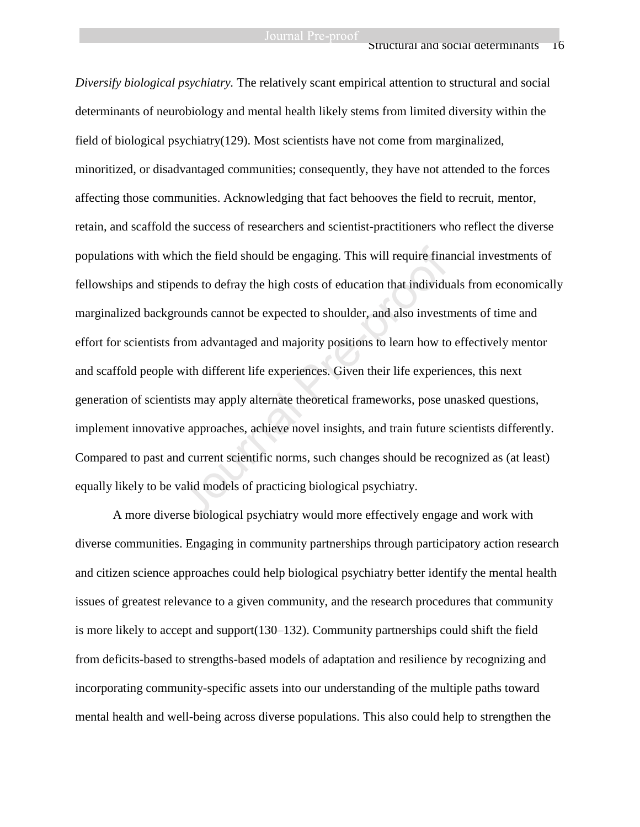*Diversify biological psychiatry.* The relatively scant empirical attention to structural and social determinants of neurobiology and mental health likely stems from limited diversity within the field of biological psychiatry(129). Most scientists have not come from marginalized, minoritized, or disadvantaged communities; consequently, they have not attended to the forces affecting those communities. Acknowledging that fact behooves the field to recruit, mentor, retain, and scaffold the success of researchers and scientist-practitioners who reflect the diverse populations with which the field should be engaging. This will require financial investments of fellowships and stipends to defray the high costs of education that individuals from economically marginalized backgrounds cannot be expected to shoulder, and also investments of time and effort for scientists from advantaged and majority positions to learn how to effectively mentor and scaffold people with different life experiences. Given their life experiences, this next generation of scientists may apply alternate theoretical frameworks, pose unasked questions, implement innovative approaches, achieve novel insights, and train future scientists differently. Compared to past and current scientific norms, such changes should be recognized as (at least) equally likely to be valid models of practicing biological psychiatry. ich the field should be engaging. This will require fina<br>ends to defray the high costs of education that individu<br>counds cannot be expected to shoulder, and also investr<br>irom advantaged and majority positions to learn how

A more diverse biological psychiatry would more effectively engage and work with diverse communities. Engaging in community partnerships through participatory action research and citizen science approaches could help biological psychiatry better identify the mental health issues of greatest relevance to a given community, and the research procedures that community is more likely to accept and support(130–132). Community partnerships could shift the field from deficits-based to strengths-based models of adaptation and resilience by recognizing and incorporating community-specific assets into our understanding of the multiple paths toward mental health and well-being across diverse populations. This also could help to strengthen the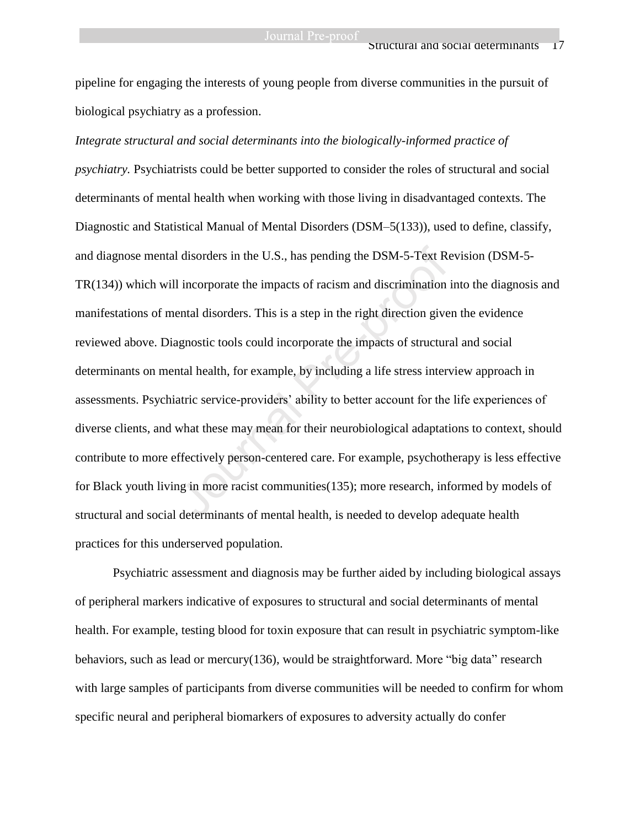pipeline for engaging the interests of young people from diverse communities in the pursuit of biological psychiatry as a profession.

*Integrate structural and social determinants into the biologically-informed practice of psychiatry.* Psychiatrists could be better supported to consider the roles of structural and social determinants of mental health when working with those living in disadvantaged contexts. The Diagnostic and Statistical Manual of Mental Disorders (DSM–5(133)), used to define, classify, and diagnose mental disorders in the U.S., has pending the DSM-5-Text Revision (DSM-5- TR(134)) which will incorporate the impacts of racism and discrimination into the diagnosis and manifestations of mental disorders. This is a step in the right direction given the evidence reviewed above. Diagnostic tools could incorporate the impacts of structural and social determinants on mental health, for example, by including a life stress interview approach in assessments. Psychiatric service-providers' ability to better account for the life experiences of diverse clients, and what these may mean for their neurobiological adaptations to context, should contribute to more effectively person-centered care. For example, psychotherapy is less effective for Black youth living in more racist communities(135); more research, informed by models of structural and social determinants of mental health, is needed to develop adequate health practices for this underserved population. I disorders in the U.S., has pending the DSM-5-Text Re<br>I incorporate the impacts of racism and discrimination<br>ental disorders. This is a step in the right direction give<br>gnostic tools could incorporate the impacts of struc

Psychiatric assessment and diagnosis may be further aided by including biological assays of peripheral markers indicative of exposures to structural and social determinants of mental health. For example, testing blood for toxin exposure that can result in psychiatric symptom-like behaviors, such as lead or mercury $(136)$ , would be straightforward. More "big data" research with large samples of participants from diverse communities will be needed to confirm for whom specific neural and peripheral biomarkers of exposures to adversity actually do confer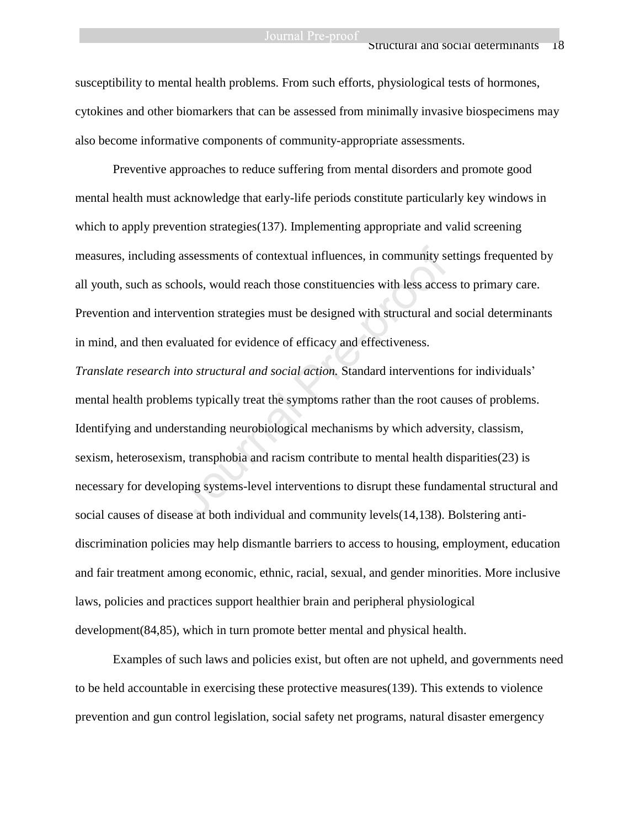#### Structural and social determinants 18

susceptibility to mental health problems. From such efforts, physiological tests of hormones, cytokines and other biomarkers that can be assessed from minimally invasive biospecimens may also become informative components of community-appropriate assessments.

Preventive approaches to reduce suffering from mental disorders and promote good mental health must acknowledge that early-life periods constitute particularly key windows in which to apply prevention strategies(137). Implementing appropriate and valid screening measures, including assessments of contextual influences, in community settings frequented by all youth, such as schools, would reach those constituencies with less access to primary care. Prevention and intervention strategies must be designed with structural and social determinants in mind, and then evaluated for evidence of efficacy and effectiveness.

*Translate research into structural and social action.* Standard interventions for individuals' mental health problems typically treat the symptoms rather than the root causes of problems. Identifying and understanding neurobiological mechanisms by which adversity, classism, sexism, heterosexism, transphobia and racism contribute to mental health disparities(23) is necessary for developing systems-level interventions to disrupt these fundamental structural and social causes of disease at both individual and community levels(14,138). Bolstering antidiscrimination policies may help dismantle barriers to access to housing, employment, education and fair treatment among economic, ethnic, racial, sexual, and gender minorities. More inclusive laws, policies and practices support healthier brain and peripheral physiological development(84,85), which in turn promote better mental and physical health. assessments of contextual influences, in community se<br>hools, would reach those constituencies with less acces<br>vention strategies must be designed with structural and<br>aluated for evidence of efficacy and effectiveness.<br>*nto* 

Examples of such laws and policies exist, but often are not upheld, and governments need to be held accountable in exercising these protective measures(139). This extends to violence prevention and gun control legislation, social safety net programs, natural disaster emergency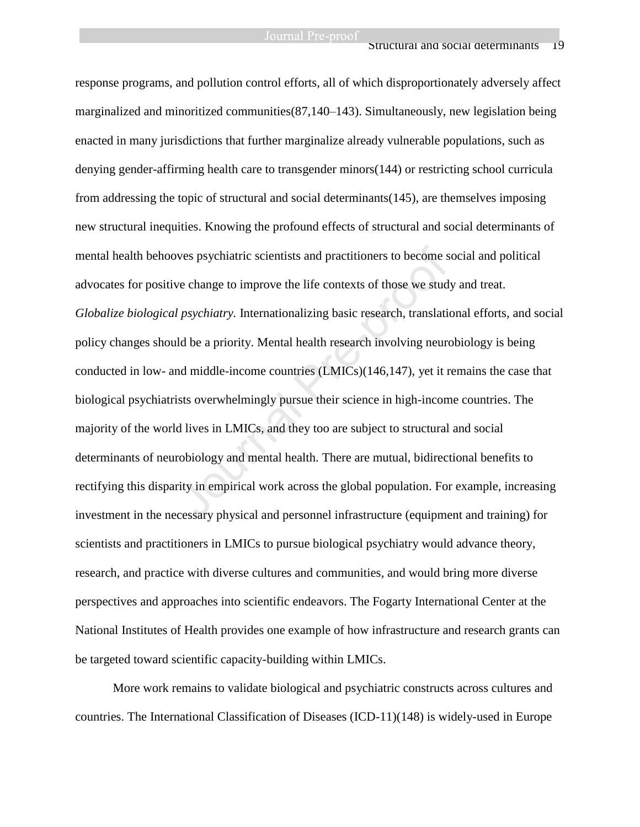response programs, and pollution control efforts, all of which disproportionately adversely affect marginalized and minoritized communities(87,140–143). Simultaneously, new legislation being enacted in many jurisdictions that further marginalize already vulnerable populations, such as denying gender-affirming health care to transgender minors(144) or restricting school curricula from addressing the topic of structural and social determinants(145), are themselves imposing new structural inequities. Knowing the profound effects of structural and social determinants of mental health behooves psychiatric scientists and practitioners to become social and political advocates for positive change to improve the life contexts of those we study and treat. *Globalize biological psychiatry.* Internationalizing basic research, translational efforts, and social policy changes should be a priority. Mental health research involving neurobiology is being conducted in low- and middle-income countries (LMICs)(146,147), yet it remains the case that biological psychiatrists overwhelmingly pursue their science in high-income countries. The majority of the world lives in LMICs, and they too are subject to structural and social determinants of neurobiology and mental health. There are mutual, bidirectional benefits to rectifying this disparity in empirical work across the global population. For example, increasing investment in the necessary physical and personnel infrastructure (equipment and training) for scientists and practitioners in LMICs to pursue biological psychiatry would advance theory, research, and practice with diverse cultures and communities, and would bring more diverse perspectives and approaches into scientific endeavors. The Fogarty International Center at the National Institutes of Health provides one example of how infrastructure and research grants can be targeted toward scientific capacity-building within LMICs. ves psychiatric scientists and practitioners to become s<br>ve change to improve the life contexts of those we stud<br>l psychiatry. Internationalizing basic research, translati-<br>ld be a priority. Mental health research involvin

More work remains to validate biological and psychiatric constructs across cultures and countries. The International Classification of Diseases (ICD-11)(148) is widely-used in Europe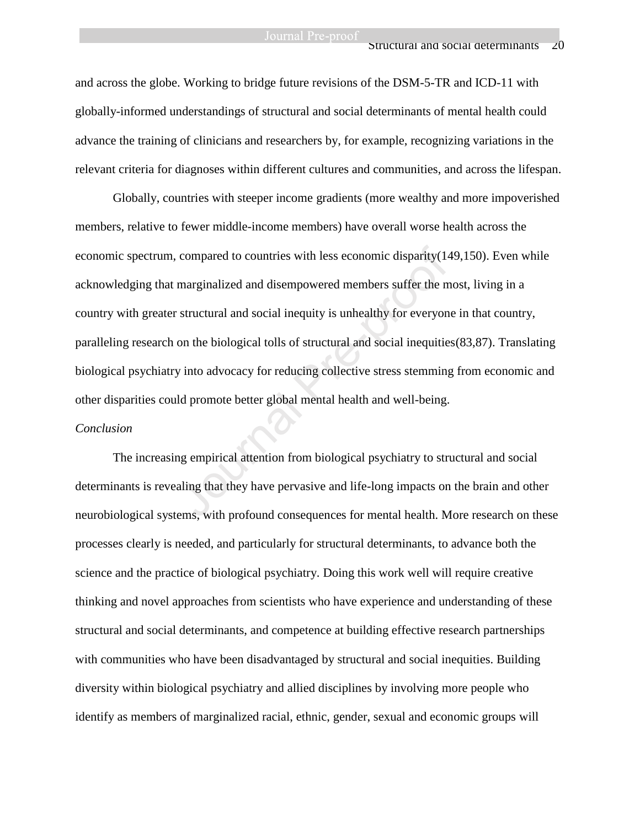and across the globe. Working to bridge future revisions of the DSM-5-TR and ICD-11 with globally-informed understandings of structural and social determinants of mental health could advance the training of clinicians and researchers by, for example, recognizing variations in the relevant criteria for diagnoses within different cultures and communities, and across the lifespan.

Globally, countries with steeper income gradients (more wealthy and more impoverished members, relative to fewer middle-income members) have overall worse health across the economic spectrum, compared to countries with less economic disparity(149,150). Even while acknowledging that marginalized and disempowered members suffer the most, living in a country with greater structural and social inequity is unhealthy for everyone in that country, paralleling research on the biological tolls of structural and social inequities(83,87). Translating biological psychiatry into advocacy for reducing collective stress stemming from economic and other disparities could promote better global mental health and well-being. compared to countries with less economic disparity(14<br>marginalized and disempowered members suffer the m<br>structural and social inequity is unhealthy for everyon<br>on the biological tolls of structural and social inequitie<br>y

#### *Conclusion*

The increasing empirical attention from biological psychiatry to structural and social determinants is revealing that they have pervasive and life-long impacts on the brain and other neurobiological systems, with profound consequences for mental health. More research on these processes clearly is needed, and particularly for structural determinants, to advance both the science and the practice of biological psychiatry. Doing this work well will require creative thinking and novel approaches from scientists who have experience and understanding of these structural and social determinants, and competence at building effective research partnerships with communities who have been disadvantaged by structural and social inequities. Building diversity within biological psychiatry and allied disciplines by involving more people who identify as members of marginalized racial, ethnic, gender, sexual and economic groups will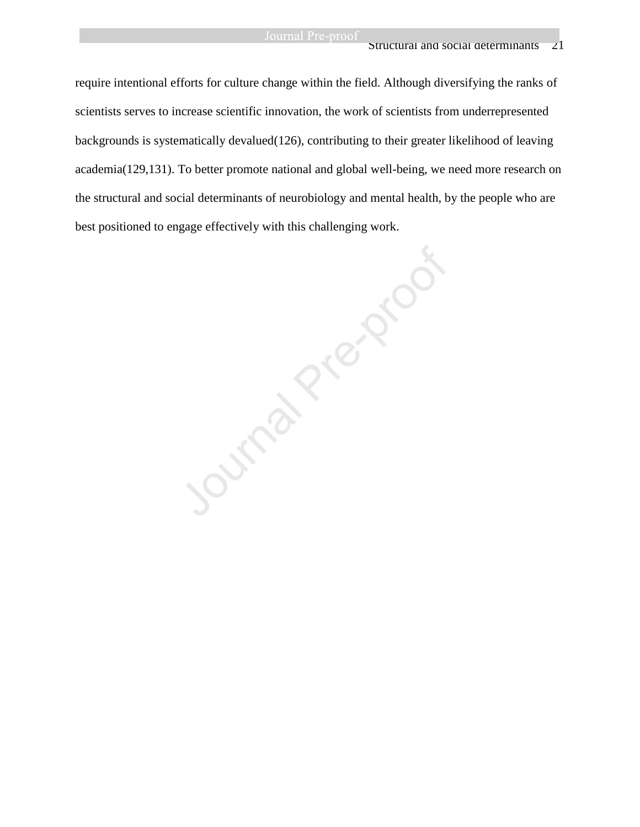#### Structural and social determinants 21

require intentional efforts for culture change within the field. Although diversifying the ranks of scientists serves to increase scientific innovation, the work of scientists from underrepresented backgrounds is systematically devalued(126), contributing to their greater likelihood of leaving academia(129,131). To better promote national and global well-being, we need more research on the structural and social determinants of neurobiology and mental health, by the people who are best positioned to engage effectively with this challenging work.

Outra President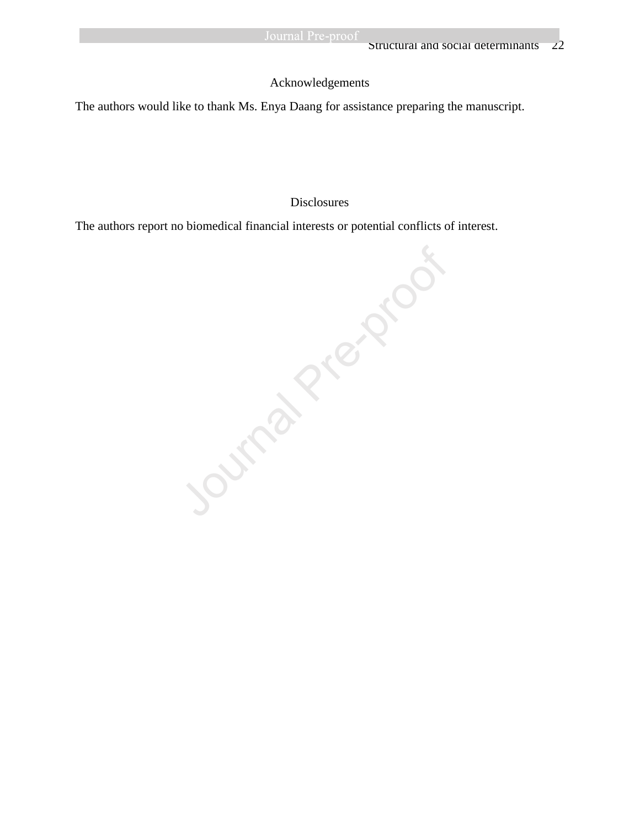# Acknowledgements

The authors would like to thank Ms. Enya Daang for assistance preparing the manuscript.

## Disclosures

The authors report no biomedical financial interests or potential conflicts of interest.

Journal Pre-proof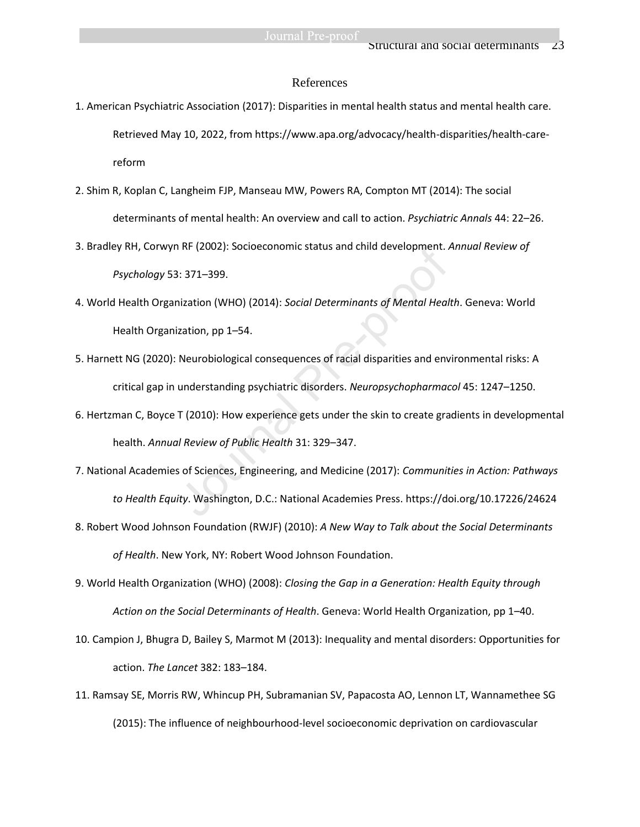#### References

- 1. American Psychiatric Association (2017): Disparities in mental health status and mental health care. Retrieved May 10, 2022, from https://www.apa.org/advocacy/health-disparities/health-carereform
- 2. Shim R, Koplan C, Langheim FJP, Manseau MW, Powers RA, Compton MT (2014): The social determinants of mental health: An overview and call to action. *Psychiatric Annals* 44: 22–26.
- 3. Bradley RH, Corwyn RF (2002): Socioeconomic status and child development. *Annual Review of Psychology* 53: 371–399.
- 4. World Health Organization (WHO) (2014): *Social Determinants of Mental Health*. Geneva: World Health Organization, pp 1–54.
- 5. Harnett NG (2020): Neurobiological consequences of racial disparities and environmental risks: A critical gap in understanding psychiatric disorders. *Neuropsychopharmacol* 45: 1247–1250.
- 6. Hertzman C, Boyce T (2010): How experience gets under the skin to create gradients in developmental health. *Annual Review of Public Health* 31: 329–347.
- 7. National Academies of Sciences, Engineering, and Medicine (2017): *Communities in Action: Pathways to Health Equity*. Washington, D.C.: National Academies Press. https://doi.org/10.17226/24624 RF (2002): Socioeconomic status and child development. 7<br>3: 371–399.<br>1ization (WHO) (2014): Social Determinants of Mental Heal<br>1ization, pp 1–54.<br>Neurobiological consequences of racial disparities and env<br>1. Meurobiologica
- 8. Robert Wood Johnson Foundation (RWJF) (2010): *A New Way to Talk about the Social Determinants of Health*. New York, NY: Robert Wood Johnson Foundation.
- 9. World Health Organization (WHO) (2008): *Closing the Gap in a Generation: Health Equity through Action on the Social Determinants of Health*. Geneva: World Health Organization, pp 1–40.
- 10. Campion J, Bhugra D, Bailey S, Marmot M (2013): Inequality and mental disorders: Opportunities for action. *The Lancet* 382: 183–184.
- 11. Ramsay SE, Morris RW, Whincup PH, Subramanian SV, Papacosta AO, Lennon LT, Wannamethee SG (2015): The influence of neighbourhood-level socioeconomic deprivation on cardiovascular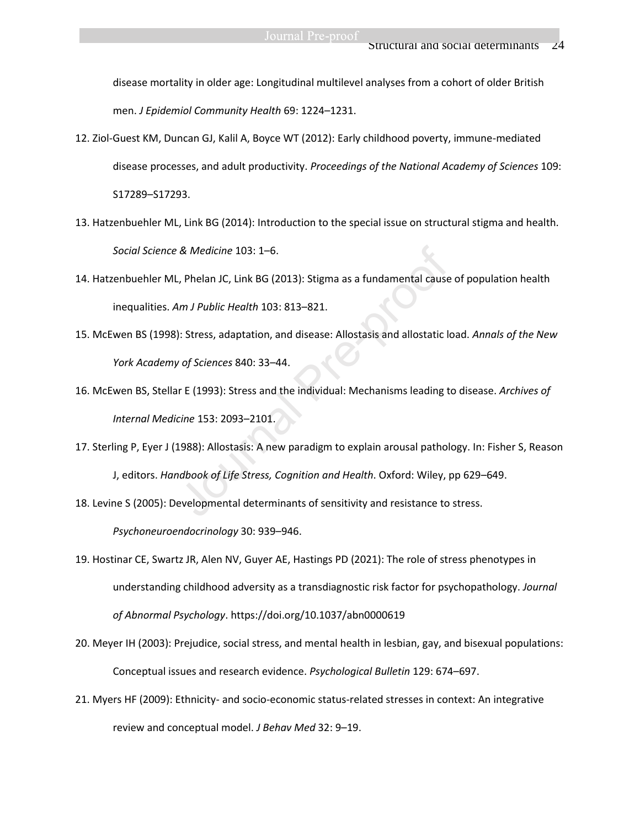disease mortality in older age: Longitudinal multilevel analyses from a cohort of older British men. *J Epidemiol Community Health* 69: 1224–1231.

- 12. Ziol-Guest KM, Duncan GJ, Kalil A, Boyce WT (2012): Early childhood poverty, immune-mediated disease processes, and adult productivity. *Proceedings of the National Academy of Sciences* 109: S17289–S17293.
- 13. Hatzenbuehler ML, Link BG (2014): Introduction to the special issue on structural stigma and health. *Social Science & Medicine* 103: 1–6.
- 14. Hatzenbuehler ML, Phelan JC, Link BG (2013): Stigma as a fundamental cause of population health inequalities. *Am J Public Health* 103: 813–821.
- 15. McEwen BS (1998): Stress, adaptation, and disease: Allostasis and allostatic load. *Annals of the New York Academy of Sciences* 840: 33–44.
- 16. McEwen BS, Stellar E (1993): Stress and the individual: Mechanisms leading to disease. *Archives of Internal Medicine* 153: 2093–2101. & Medicine 103: 1–6.<br>
, Phelan JC, Link BG (2013): Stigma as a fundamental cause<br>
Am J Public Health 103: 813–821.<br>
): Stress, adaptation, and disease: Allostasis and allostatic let of Sciences 840: 33–44.<br>
Ir E (1993): St
- 17. Sterling P, Eyer J (1988): Allostasis: A new paradigm to explain arousal pathology. In: Fisher S, Reason J, editors. *Handbook of Life Stress, Cognition and Health*. Oxford: Wiley, pp 629–649.
- 18. Levine S (2005): Developmental determinants of sensitivity and resistance to stress.

*Psychoneuroendocrinology* 30: 939–946.

- 19. Hostinar CE, Swartz JR, Alen NV, Guyer AE, Hastings PD (2021): The role of stress phenotypes in understanding childhood adversity as a transdiagnostic risk factor for psychopathology. *Journal of Abnormal Psychology*. https://doi.org/10.1037/abn0000619
- 20. Meyer IH (2003): Prejudice, social stress, and mental health in lesbian, gay, and bisexual populations: Conceptual issues and research evidence. *Psychological Bulletin* 129: 674–697.
- 21. Myers HF (2009): Ethnicity- and socio-economic status-related stresses in context: An integrative review and conceptual model. *J Behav Med* 32: 9–19.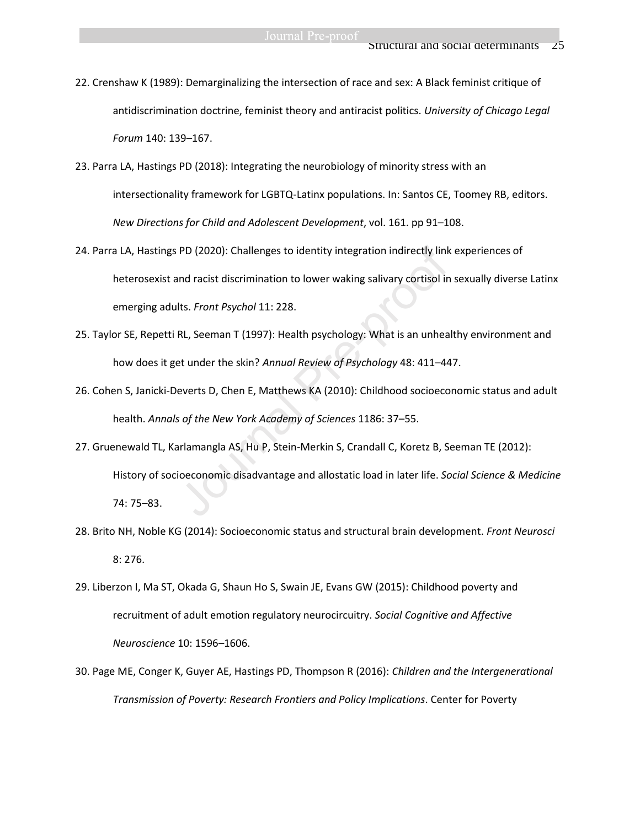- 22. Crenshaw K (1989): Demarginalizing the intersection of race and sex: A Black feminist critique of antidiscrimination doctrine, feminist theory and antiracist politics. *University of Chicago Legal Forum* 140: 139–167.
- 23. Parra LA, Hastings PD (2018): Integrating the neurobiology of minority stress with an intersectionality framework for LGBTQ-Latinx populations. In: Santos CE, Toomey RB, editors. *New Directions for Child and Adolescent Development*, vol. 161. pp 91–108.
- 24. Parra LA, Hastings PD (2020): Challenges to identity integration indirectly link experiences of heterosexist and racist discrimination to lower waking salivary cortisol in sexually diverse Latinx emerging adults. *Front Psychol* 11: 228.
- 25. Taylor SE, Repetti RL, Seeman T (1997): Health psychology: What is an unhealthy environment and how does it get under the skin? *Annual Review of Psychology* 48: 411–447.
- 26. Cohen S, Janicki-Deverts D, Chen E, Matthews KA (2010): Childhood socioeconomic status and adult health. *Annals of the New York Academy of Sciences* 1186: 37–55.
- 27. Gruenewald TL, Karlamangla AS, Hu P, Stein-Merkin S, Crandall C, Koretz B, Seeman TE (2012): History of socioeconomic disadvantage and allostatic load in later life. *Social Science & Medicine* 74: 75–83. PD (2020): Challenges to identity integration indirectly link<br>had racist discrimination to lower waking salivary cortisol in<br>Its. *Front Psychol* 11: 228.<br>RL, Seeman T (1997): Health psychology: What is an unhea<br>et under t
- 28. Brito NH, Noble KG (2014): Socioeconomic status and structural brain development. *Front Neurosci* 8: 276.
- 29. Liberzon I, Ma ST, Okada G, Shaun Ho S, Swain JE, Evans GW (2015): Childhood poverty and recruitment of adult emotion regulatory neurocircuitry. *Social Cognitive and Affective Neuroscience* 10: 1596–1606.
- 30. Page ME, Conger K, Guyer AE, Hastings PD, Thompson R (2016): *Children and the Intergenerational Transmission of Poverty: Research Frontiers and Policy Implications*. Center for Poverty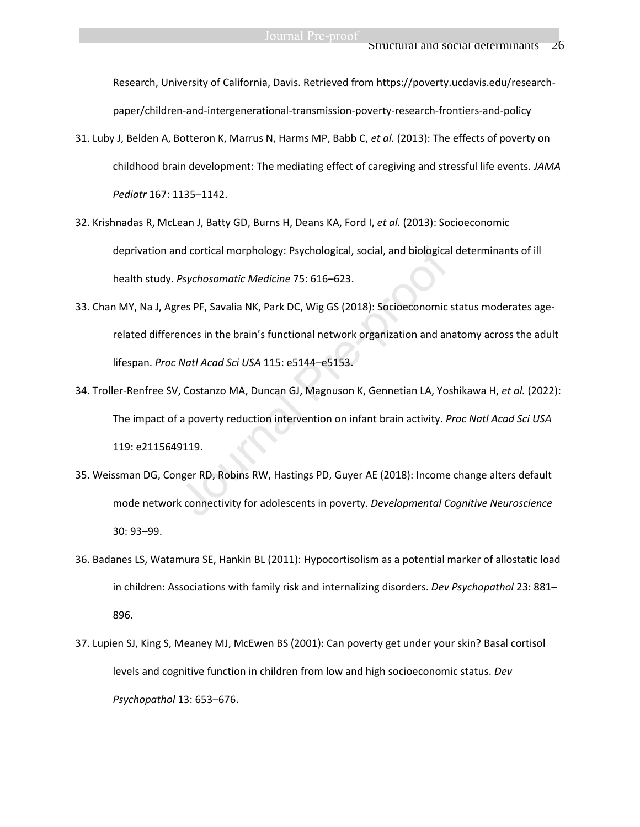Research, University of California, Davis. Retrieved from https://poverty.ucdavis.edu/researchpaper/children-and-intergenerational-transmission-poverty-research-frontiers-and-policy

- 31. Luby J, Belden A, Botteron K, Marrus N, Harms MP, Babb C, *et al.* (2013): The effects of poverty on childhood brain development: The mediating effect of caregiving and stressful life events. *JAMA Pediatr* 167: 1135–1142.
- 32. Krishnadas R, McLean J, Batty GD, Burns H, Deans KA, Ford I, *et al.* (2013): Socioeconomic deprivation and cortical morphology: Psychological, social, and biological determinants of ill health study. *Psychosomatic Medicine* 75: 616–623.
- 33. Chan MY, Na J, Agres PF, Savalia NK, Park DC, Wig GS (2018): Socioeconomic status moderates agerelated differences in the brain's functional network organization and anatomy across the adult lifespan. *Proc Natl Acad Sci USA* 115: e5144–e5153. nd cortical morphology: Psychological, social, and biologica<br>
Psychosomatic Medicine 75: 616–623.<br>
res PF, Savalia NK, Park DC, Wig GS (2018): Socioeconomic<br>
ences in the brain's functional network organization and an<br>
Nat
- 34. Troller-Renfree SV, Costanzo MA, Duncan GJ, Magnuson K, Gennetian LA, Yoshikawa H, *et al.* (2022): The impact of a poverty reduction intervention on infant brain activity. *Proc Natl Acad Sci USA* 119: e2115649119.
- 35. Weissman DG, Conger RD, Robins RW, Hastings PD, Guyer AE (2018): Income change alters default mode network connectivity for adolescents in poverty. *Developmental Cognitive Neuroscience* 30: 93–99.
- 36. Badanes LS, Watamura SE, Hankin BL (2011): Hypocortisolism as a potential marker of allostatic load in children: Associations with family risk and internalizing disorders. *Dev Psychopathol* 23: 881– 896.
- 37. Lupien SJ, King S, Meaney MJ, McEwen BS (2001): Can poverty get under your skin? Basal cortisol levels and cognitive function in children from low and high socioeconomic status. *Dev Psychopathol* 13: 653–676.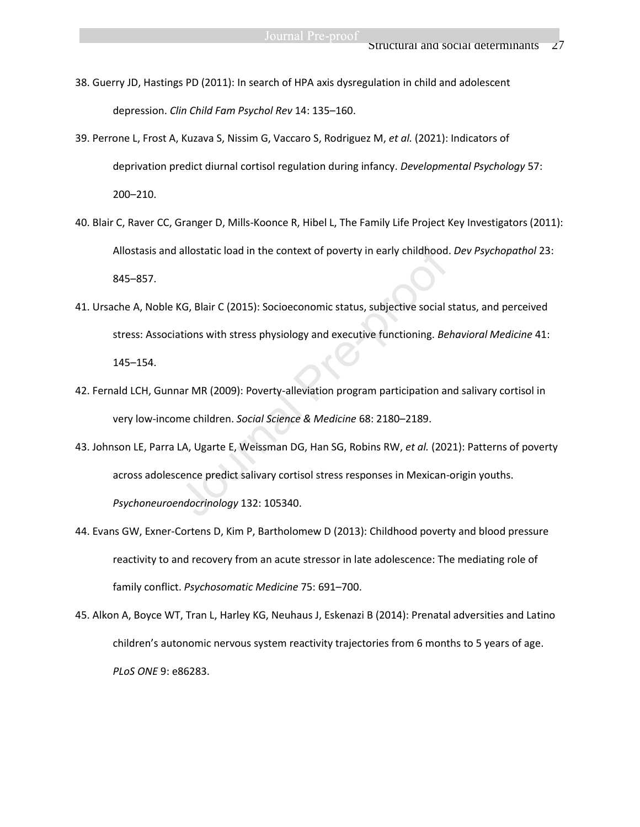- 38. Guerry JD, Hastings PD (2011): In search of HPA axis dysregulation in child and adolescent depression. *Clin Child Fam Psychol Rev* 14: 135–160.
- 39. Perrone L, Frost A, Kuzava S, Nissim G, Vaccaro S, Rodriguez M, *et al.* (2021): Indicators of deprivation predict diurnal cortisol regulation during infancy. *Developmental Psychology* 57: 200–210.
- 40. Blair C, Raver CC, Granger D, Mills-Koonce R, Hibel L, The Family Life Project Key Investigators (2011): Allostasis and allostatic load in the context of poverty in early childhood. *Dev Psychopathol* 23: 845–857.
- 41. Ursache A, Noble KG, Blair C (2015): Socioeconomic status, subjective social status, and perceived stress: Associations with stress physiology and executive functioning. *Behavioral Medicine* 41: 145–154. allostatic load in the context of poverty in early childhood.<br>KG, Blair C (2015): Socioeconomic status, subjective social s<br>ations with stress physiology and executive functioning. *Be*<br>nar MR (2009): Poverty-alleviation p
- 42. Fernald LCH, Gunnar MR (2009): Poverty-alleviation program participation and salivary cortisol in very low-income children. *Social Science & Medicine* 68: 2180–2189.
- 43. Johnson LE, Parra LA, Ugarte E, Weissman DG, Han SG, Robins RW, *et al.* (2021): Patterns of poverty across adolescence predict salivary cortisol stress responses in Mexican-origin youths. *Psychoneuroendocrinology* 132: 105340.
- 44. Evans GW, Exner-Cortens D, Kim P, Bartholomew D (2013): Childhood poverty and blood pressure reactivity to and recovery from an acute stressor in late adolescence: The mediating role of family conflict. *Psychosomatic Medicine* 75: 691–700.
- 45. Alkon A, Boyce WT, Tran L, Harley KG, Neuhaus J, Eskenazi B (2014): Prenatal adversities and Latino children's autonomic nervous system reactivity trajectories from 6 months to 5 years of age. *PLoS ONE* 9: e86283.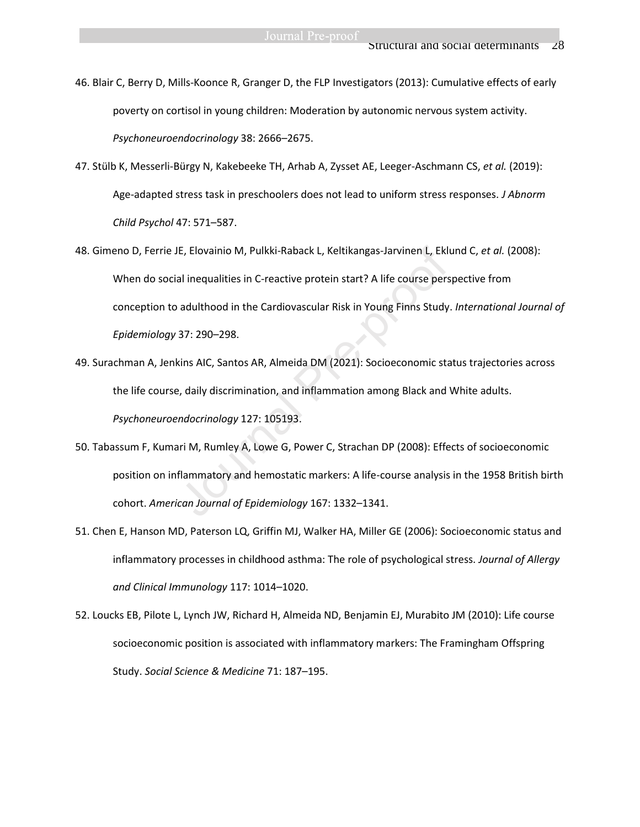46. Blair C, Berry D, Mills-Koonce R, Granger D, the FLP Investigators (2013): Cumulative effects of early poverty on cortisol in young children: Moderation by autonomic nervous system activity. *Psychoneuroendocrinology* 38: 2666–2675.

- 47. Stülb K, Messerli-Bürgy N, Kakebeeke TH, Arhab A, Zysset AE, Leeger-Aschmann CS, *et al.* (2019): Age-adapted stress task in preschoolers does not lead to uniform stress responses. *J Abnorm Child Psychol* 47: 571–587.
- 48. Gimeno D, Ferrie JE, Elovainio M, Pulkki-Raback L, Keltikangas-Jarvinen L, Eklund C, *et al.* (2008): When do social inequalities in C-reactive protein start? A life course perspective from conception to adulthood in the Cardiovascular Risk in Young Finns Study. *International Journal of Epidemiology* 37: 290–298. IE, Elovainio M, Pulkki-Raback L, Keltikangas-Jarvinen L, Ekla<br>
I inequalities in C-reactive protein start? A life course pers<br>
adulthood in the Cardiovascular Risk in Young Finns Study<br>
37: 290–298.<br>
Kins AlC, Santos AR,
- 49. Surachman A, Jenkins AIC, Santos AR, Almeida DM (2021): Socioeconomic status trajectories across the life course, daily discrimination, and inflammation among Black and White adults. *Psychoneuroendocrinology* 127: 105193.
- 50. Tabassum F, Kumari M, Rumley A, Lowe G, Power C, Strachan DP (2008): Effects of socioeconomic position on inflammatory and hemostatic markers: A life-course analysis in the 1958 British birth cohort. *American Journal of Epidemiology* 167: 1332–1341.
- 51. Chen E, Hanson MD, Paterson LQ, Griffin MJ, Walker HA, Miller GE (2006): Socioeconomic status and inflammatory processes in childhood asthma: The role of psychological stress. *Journal of Allergy and Clinical Immunology* 117: 1014–1020.
- 52. Loucks EB, Pilote L, Lynch JW, Richard H, Almeida ND, Benjamin EJ, Murabito JM (2010): Life course socioeconomic position is associated with inflammatory markers: The Framingham Offspring Study. *Social Science & Medicine* 71: 187–195.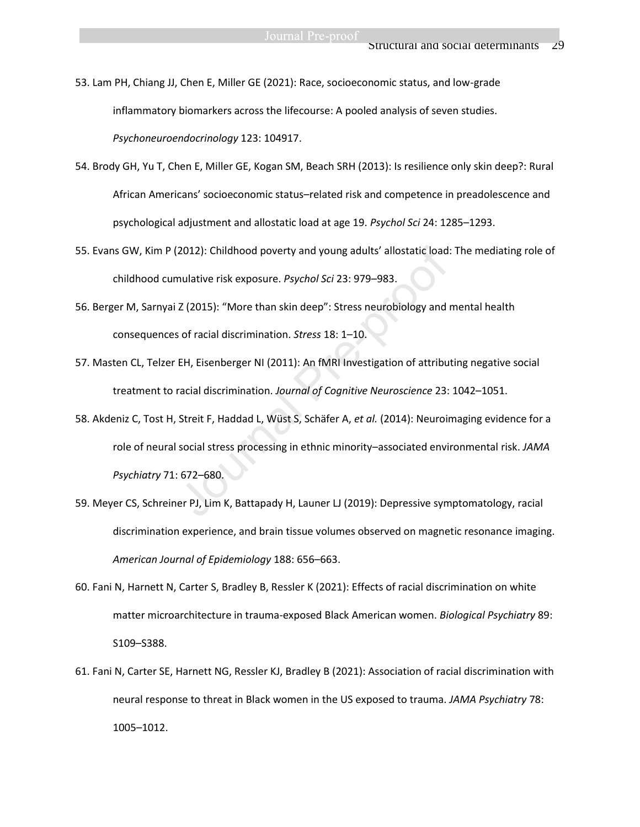53. Lam PH, Chiang JJ, Chen E, Miller GE (2021): Race, socioeconomic status, and low-grade inflammatory biomarkers across the lifecourse: A pooled analysis of seven studies. *Psychoneuroendocrinology* 123: 104917.

- 54. Brody GH, Yu T, Chen E, Miller GE, Kogan SM, Beach SRH (2013): Is resilience only skin deep?: Rural African Americans' socioeconomic status–related risk and competence in preadolescence and psychological adjustment and allostatic load at age 19. *Psychol Sci* 24: 1285–1293.
- 55. Evans GW, Kim P (2012): Childhood poverty and young adults' allostatic load: The mediating role of childhood cumulative risk exposure. *Psychol Sci* 23: 979–983.
- 56. Berger M, Sarnyai Z (2015): "More than skin deep": Stress neurobiology and mental health consequences of racial discrimination. *Stress* 18: 1–10.
- 57. Masten CL, Telzer EH, Eisenberger NI (2011): An fMRI Investigation of attributing negative social treatment to racial discrimination. *Journal of Cognitive Neuroscience* 23: 1042–1051.
- 58. Akdeniz C, Tost H, Streit F, Haddad L, Wüst S, Schäfer A, *et al.* (2014): Neuroimaging evidence for a role of neural social stress processing in ethnic minority–associated environmental risk. *JAMA Psychiatry* 71: 672–680. 2012): Childhood poverty and young adults' allostatic load<br>
mulative risk exposure. *Psychol Sci* 23: 979–983.<br>
Z (2015): "More than skin deep": Stress neurobiology and i<br>
s of racial discrimination. *Stress* 18: 1–10.<br>
EH
- 59. Meyer CS, Schreiner PJ, Lim K, Battapady H, Launer LJ (2019): Depressive symptomatology, racial discrimination experience, and brain tissue volumes observed on magnetic resonance imaging. *American Journal of Epidemiology* 188: 656–663.
- 60. Fani N, Harnett N, Carter S, Bradley B, Ressler K (2021): Effects of racial discrimination on white matter microarchitecture in trauma-exposed Black American women. *Biological Psychiatry* 89: S109–S388.
- 61. Fani N, Carter SE, Harnett NG, Ressler KJ, Bradley B (2021): Association of racial discrimination with neural response to threat in Black women in the US exposed to trauma. *JAMA Psychiatry* 78: 1005–1012.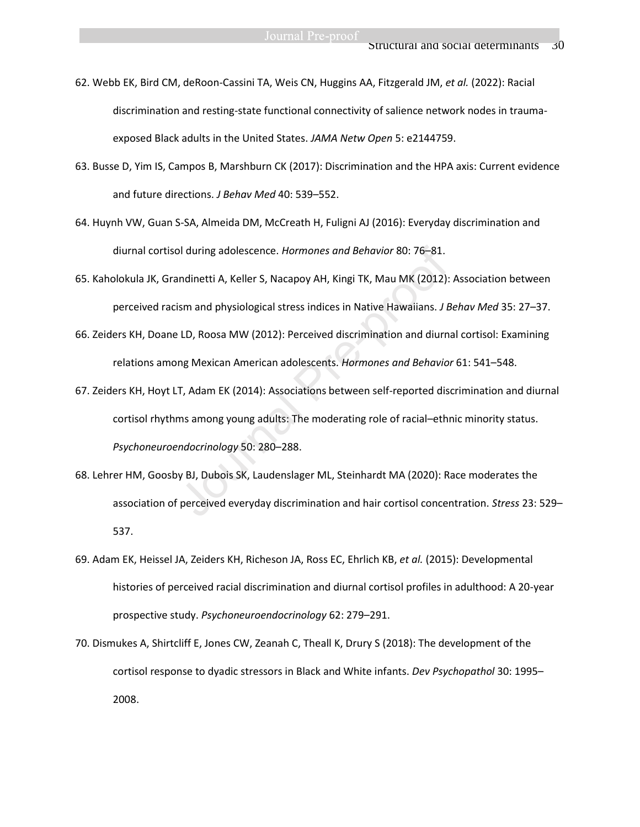62. Webb EK, Bird CM, deRoon-Cassini TA, Weis CN, Huggins AA, Fitzgerald JM, *et al.* (2022): Racial discrimination and resting-state functional connectivity of salience network nodes in traumaexposed Black adults in the United States. *JAMA Netw Open* 5: e2144759.

- 63. Busse D, Yim IS, Campos B, Marshburn CK (2017): Discrimination and the HPA axis: Current evidence and future directions. *J Behav Med* 40: 539–552.
- 64. Huynh VW, Guan S-SA, Almeida DM, McCreath H, Fuligni AJ (2016): Everyday discrimination and diurnal cortisol during adolescence. *Hormones and Behavior* 80: 76–81.
- 65. Kaholokula JK, Grandinetti A, Keller S, Nacapoy AH, Kingi TK, Mau MK (2012): Association between perceived racism and physiological stress indices in Native Hawaiians. *J Behav Med* 35: 27–37.
- 66. Zeiders KH, Doane LD, Roosa MW (2012): Perceived discrimination and diurnal cortisol: Examining relations among Mexican American adolescents. *Hormones and Behavior* 61: 541–548.
- 67. Zeiders KH, Hoyt LT, Adam EK (2014): Associations between self-reported discrimination and diurnal cortisol rhythms among young adults: The moderating role of racial–ethnic minority status. *Psychoneuroendocrinology* 50: 280–288. ol during adolescence. *Hormones and Behavior* 80: 76–81.<br>
Indinetti A, Keller S, Nacapoy AH, Kingi TK, Mau MK (2012):<br>
Ism and physiological stress indices in Native Hawaiians. *J E*<br>
I.D, Roosa MW (2012): Perceived discr
- 68. Lehrer HM, Goosby BJ, Dubois SK, Laudenslager ML, Steinhardt MA (2020): Race moderates the association of perceived everyday discrimination and hair cortisol concentration. *Stress* 23: 529– 537.
- 69. Adam EK, Heissel JA, Zeiders KH, Richeson JA, Ross EC, Ehrlich KB, *et al.* (2015): Developmental histories of perceived racial discrimination and diurnal cortisol profiles in adulthood: A 20-year prospective study. *Psychoneuroendocrinology* 62: 279–291.
- 70. Dismukes A, Shirtcliff E, Jones CW, Zeanah C, Theall K, Drury S (2018): The development of the cortisol response to dyadic stressors in Black and White infants. *Dev Psychopathol* 30: 1995– 2008.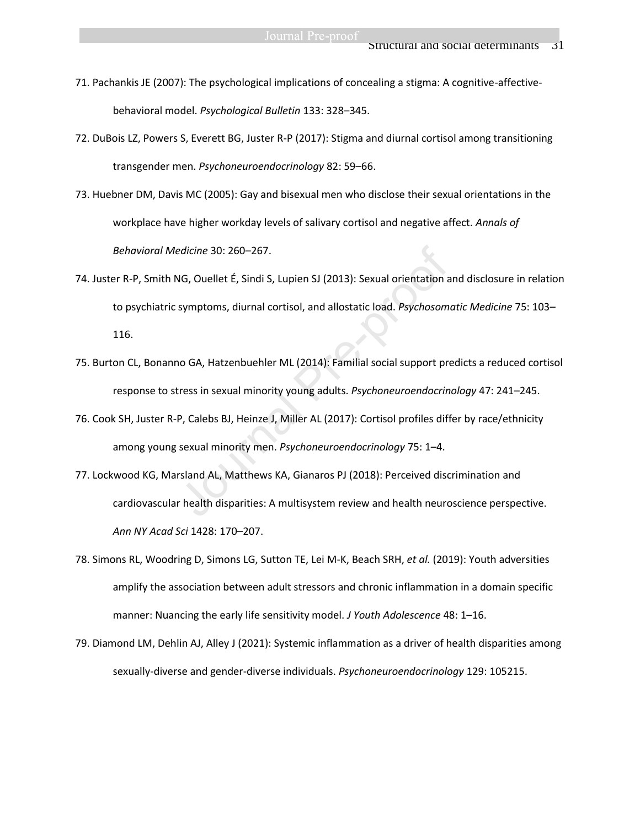- 71. Pachankis JE (2007): The psychological implications of concealing a stigma: A cognitive-affectivebehavioral model. *Psychological Bulletin* 133: 328–345.
- 72. DuBois LZ, Powers S, Everett BG, Juster R-P (2017): Stigma and diurnal cortisol among transitioning transgender men. *Psychoneuroendocrinology* 82: 59–66.
- 73. Huebner DM, Davis MC (2005): Gay and bisexual men who disclose their sexual orientations in the workplace have higher workday levels of salivary cortisol and negative affect. *Annals of Behavioral Medicine* 30: 260–267.
- 74. Juster R-P, Smith NG, Ouellet É, Sindi S, Lupien SJ (2013): Sexual orientation and disclosure in relation to psychiatric symptoms, diurnal cortisol, and allostatic load. *Psychosomatic Medicine* 75: 103– 116. edicine 30: 260–267.<br>
NG, Ouellet É, Sindi S, Lupien SJ (2013): Sexual orientation a<br>
symptoms, diurnal cortisol, and allostatic load. *Psychosom*<br>
no GA, Hatzenbuehler ML (2014): Familial social support profiles<br>
tress in
- 75. Burton CL, Bonanno GA, Hatzenbuehler ML (2014): Familial social support predicts a reduced cortisol response to stress in sexual minority young adults. *Psychoneuroendocrinology* 47: 241–245.
- 76. Cook SH, Juster R-P, Calebs BJ, Heinze J, Miller AL (2017): Cortisol profiles differ by race/ethnicity among young sexual minority men. *Psychoneuroendocrinology* 75: 1–4.
- 77. Lockwood KG, Marsland AL, Matthews KA, Gianaros PJ (2018): Perceived discrimination and cardiovascular health disparities: A multisystem review and health neuroscience perspective. *Ann NY Acad Sci* 1428: 170–207.
- 78. Simons RL, Woodring D, Simons LG, Sutton TE, Lei M-K, Beach SRH, *et al.* (2019): Youth adversities amplify the association between adult stressors and chronic inflammation in a domain specific manner: Nuancing the early life sensitivity model. *J Youth Adolescence* 48: 1–16.
- 79. Diamond LM, Dehlin AJ, Alley J (2021): Systemic inflammation as a driver of health disparities among sexually-diverse and gender-diverse individuals. *Psychoneuroendocrinology* 129: 105215.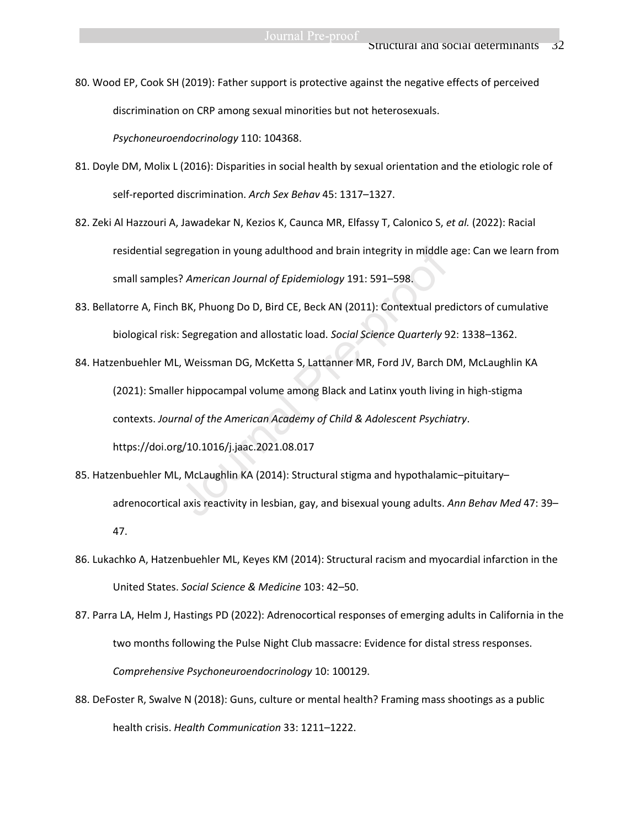80. Wood EP, Cook SH (2019): Father support is protective against the negative effects of perceived discrimination on CRP among sexual minorities but not heterosexuals.

*Psychoneuroendocrinology* 110: 104368.

- 81. Doyle DM, Molix L (2016): Disparities in social health by sexual orientation and the etiologic role of self-reported discrimination. *Arch Sex Behav* 45: 1317–1327.
- 82. Zeki Al Hazzouri A, Jawadekar N, Kezios K, Caunca MR, Elfassy T, Calonico S, *et al.* (2022): Racial residential segregation in young adulthood and brain integrity in middle age: Can we learn from small samples? *American Journal of Epidemiology* 191: 591–598.
- 83. Bellatorre A, Finch BK, Phuong Do D, Bird CE, Beck AN (2011): Contextual predictors of cumulative biological risk: Segregation and allostatic load. *Social Science Quarterly* 92: 1338–1362.
- 84. Hatzenbuehler ML, Weissman DG, McKetta S, Lattanner MR, Ford JV, Barch DM, McLaughlin KA (2021): Smaller hippocampal volume among Black and Latinx youth living in high-stigma contexts. *Journal of the American Academy of Child & Adolescent Psychiatry*. https://doi.org/10.1016/j.jaac.2021.08.017 gregation in young adulthood and brain integrity in middle<br>
17 American Journal of Epidemiology 191: 591–598.<br>
18 K, Phuong Do D, Bird CE, Beck AN (2011): Contextual pre<br>
18 Segregation and allostatic load. Social Science
- 85. Hatzenbuehler ML, McLaughlin KA (2014): Structural stigma and hypothalamic–pituitary– adrenocortical axis reactivity in lesbian, gay, and bisexual young adults. *Ann Behav Med* 47: 39– 47.
- 86. Lukachko A, Hatzenbuehler ML, Keyes KM (2014): Structural racism and myocardial infarction in the United States. *Social Science & Medicine* 103: 42–50.
- 87. Parra LA, Helm J, Hastings PD (2022): Adrenocortical responses of emerging adults in California in the two months following the Pulse Night Club massacre: Evidence for distal stress responses. *Comprehensive Psychoneuroendocrinology* 10: 100129.
- 88. DeFoster R, Swalve N (2018): Guns, culture or mental health? Framing mass shootings as a public health crisis. *Health Communication* 33: 1211–1222.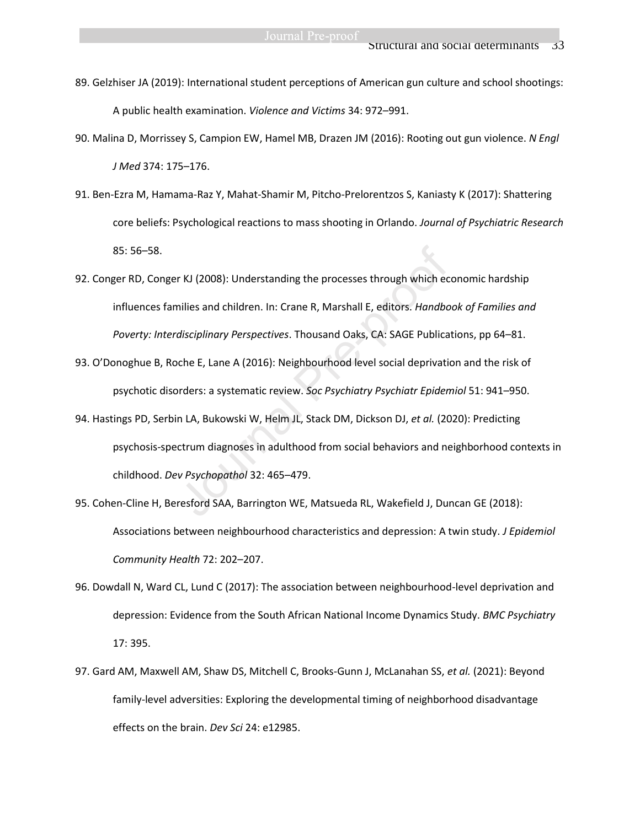- 89. Gelzhiser JA (2019): International student perceptions of American gun culture and school shootings: A public health examination. *Violence and Victims* 34: 972–991.
- 90. Malina D, Morrissey S, Campion EW, Hamel MB, Drazen JM (2016): Rooting out gun violence. *N Engl J Med* 374: 175–176.
- 91. Ben-Ezra M, Hamama-Raz Y, Mahat-Shamir M, Pitcho-Prelorentzos S, Kaniasty K (2017): Shattering core beliefs: Psychological reactions to mass shooting in Orlando. *Journal of Psychiatric Research* 85: 56–58.
- 92. Conger RD, Conger KJ (2008): Understanding the processes through which economic hardship influences families and children. In: Crane R, Marshall E, editors. *Handbook of Families and Poverty: Interdisciplinary Perspectives*. Thousand Oaks, CA: SAGE Publications, pp 64–81. r KJ (2008): Understanding the processes through which ec<br>nilies and children. In: Crane R, Marshall E, editors. *Handbo*<br>disciplinary Perspectives. Thousand Oaks, CA: SAGE Publica<br>oche E, Lane A (2016): Neighbourhood leve
- 93. O'Donoghue B, Roche E, Lane A (2016): Neighbourhood level social deprivation and the risk of psychotic disorders: a systematic review. *Soc Psychiatry Psychiatr Epidemiol* 51: 941–950.
- 94. Hastings PD, Serbin LA, Bukowski W, Helm JL, Stack DM, Dickson DJ, *et al.* (2020): Predicting psychosis-spectrum diagnoses in adulthood from social behaviors and neighborhood contexts in childhood. *Dev Psychopathol* 32: 465–479.
- 95. Cohen-Cline H, Beresford SAA, Barrington WE, Matsueda RL, Wakefield J, Duncan GE (2018): Associations between neighbourhood characteristics and depression: A twin study. *J Epidemiol Community Health* 72: 202–207.
- 96. Dowdall N, Ward CL, Lund C (2017): The association between neighbourhood-level deprivation and depression: Evidence from the South African National Income Dynamics Study. *BMC Psychiatry* 17: 395.
- 97. Gard AM, Maxwell AM, Shaw DS, Mitchell C, Brooks‐Gunn J, McLanahan SS, *et al.* (2021): Beyond family‐level adversities: Exploring the developmental timing of neighborhood disadvantage effects on the brain. *Dev Sci* 24: e12985.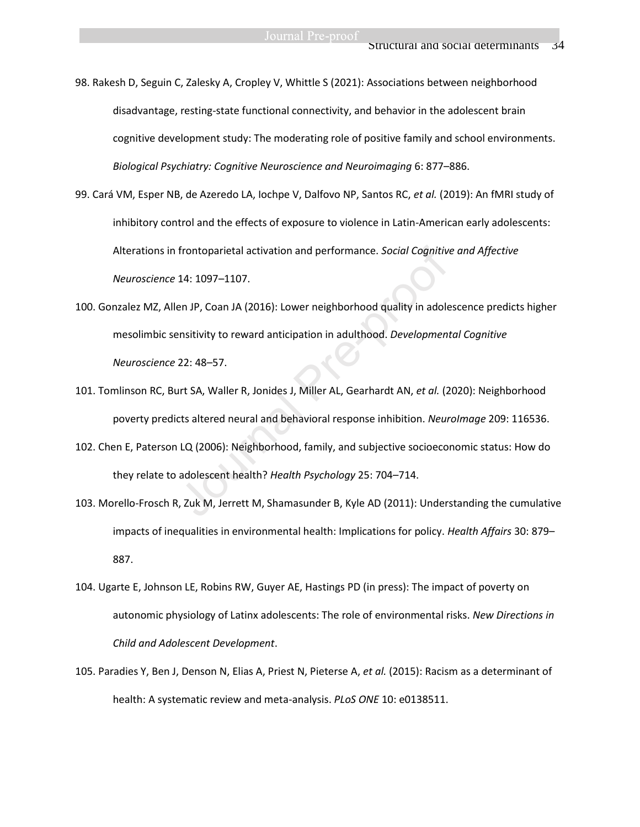98. Rakesh D, Seguin C, Zalesky A, Cropley V, Whittle S (2021): Associations between neighborhood disadvantage, resting-state functional connectivity, and behavior in the adolescent brain cognitive development study: The moderating role of positive family and school environments. *Biological Psychiatry: Cognitive Neuroscience and Neuroimaging* 6: 877–886.

99. Cará VM, Esper NB, de Azeredo LA, Iochpe V, Dalfovo NP, Santos RC, *et al.* (2019): An fMRI study of inhibitory control and the effects of exposure to violence in Latin-American early adolescents: Alterations in frontoparietal activation and performance. *Social Cognitive and Affective Neuroscience* 14: 1097–1107.

- 100. Gonzalez MZ, Allen JP, Coan JA (2016): Lower neighborhood quality in adolescence predicts higher mesolimbic sensitivity to reward anticipation in adulthood. *Developmental Cognitive Neuroscience* 22: 48–57. frontoparietal activation and performance. *Social Cognitiv*<br>14: 1097–1107.<br>en JP, Coan JA (2016): Lower neighborhood quality in adole<br>ensitivity to reward anticipation in adulthood. *Development*<br>22: 48–57.<br>urt SA, Waller
- 101. Tomlinson RC, Burt SA, Waller R, Jonides J, Miller AL, Gearhardt AN, *et al.* (2020): Neighborhood poverty predicts altered neural and behavioral response inhibition. *NeuroImage* 209: 116536.
- 102. Chen E, Paterson LQ (2006): Neighborhood, family, and subjective socioeconomic status: How do they relate to adolescent health? *Health Psychology* 25: 704–714.
- 103. Morello-Frosch R, Zuk M, Jerrett M, Shamasunder B, Kyle AD (2011): Understanding the cumulative impacts of inequalities in environmental health: Implications for policy. *Health Affairs* 30: 879– 887.
- 104. Ugarte E, Johnson LE, Robins RW, Guyer AE, Hastings PD (in press): The impact of poverty on autonomic physiology of Latinx adolescents: The role of environmental risks. *New Directions in Child and Adolescent Development*.
- 105. Paradies Y, Ben J, Denson N, Elias A, Priest N, Pieterse A, *et al.* (2015): Racism as a determinant of health: A systematic review and meta-analysis. *PLoS ONE* 10: e0138511.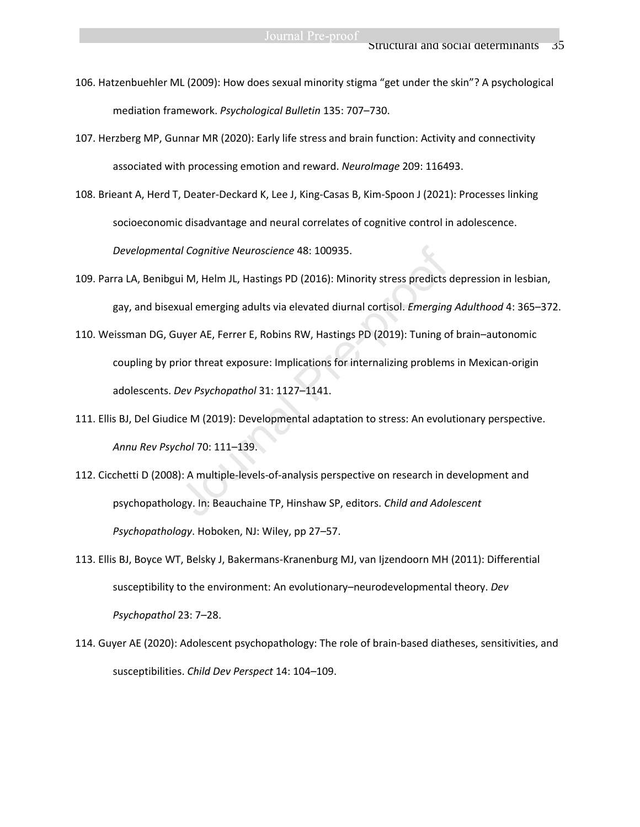- 106. Hatzenbuehler ML (2009): How does sexual minority stigma "get under the skin"? A psychological mediation framework. *Psychological Bulletin* 135: 707–730.
- 107. Herzberg MP, Gunnar MR (2020): Early life stress and brain function: Activity and connectivity associated with processing emotion and reward. *NeuroImage* 209: 116493.
- 108. Brieant A, Herd T, Deater-Deckard K, Lee J, King-Casas B, Kim-Spoon J (2021): Processes linking socioeconomic disadvantage and neural correlates of cognitive control in adolescence. *Developmental Cognitive Neuroscience* 48: 100935.
- 109. Parra LA, Benibgui M, Helm JL, Hastings PD (2016): Minority stress predicts depression in lesbian, gay, and bisexual emerging adults via elevated diurnal cortisol. *Emerging Adulthood* 4: 365–372.
- 110. Weissman DG, Guyer AE, Ferrer E, Robins RW, Hastings PD (2019): Tuning of brain–autonomic coupling by prior threat exposure: Implications for internalizing problems in Mexican-origin adolescents. *Dev Psychopathol* 31: 1127–1141. al Cognitive Neuroscience 48: 100935.<br>
Lui M, Helm JL, Hastings PD (2016): Minority stress predicts<br>
staal emerging adults via elevated diurnal cortisol. *Emerging*<br>
uyer AE, Ferrer E, Robins RW, Hastings PD (2019): Tuning
- 111. Ellis BJ, Del Giudice M (2019): Developmental adaptation to stress: An evolutionary perspective. *Annu Rev Psychol* 70: 111–139.
- 112. Cicchetti D (2008): A multiple-levels-of-analysis perspective on research in development and psychopathology. In: Beauchaine TP, Hinshaw SP, editors. *Child and Adolescent Psychopathology*. Hoboken, NJ: Wiley, pp 27–57.
- 113. Ellis BJ, Boyce WT, Belsky J, Bakermans-Kranenburg MJ, van Ijzendoorn MH (2011): Differential susceptibility to the environment: An evolutionary–neurodevelopmental theory. *Dev Psychopathol* 23: 7–28.
- 114. Guyer AE (2020): Adolescent psychopathology: The role of brain‐based diatheses, sensitivities, and susceptibilities. *Child Dev Perspect* 14: 104–109.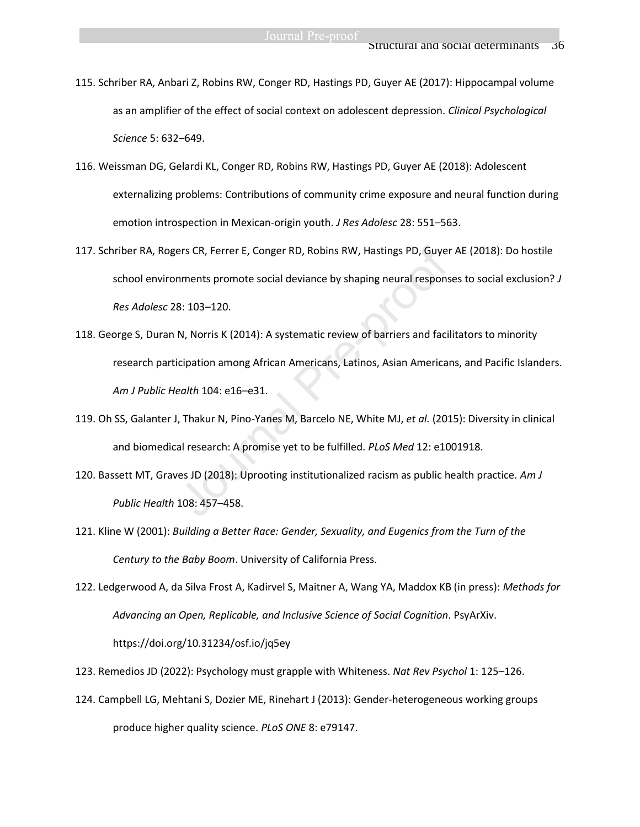- 115. Schriber RA, Anbari Z, Robins RW, Conger RD, Hastings PD, Guyer AE (2017): Hippocampal volume as an amplifier of the effect of social context on adolescent depression. *Clinical Psychological Science* 5: 632–649.
- 116. Weissman DG, Gelardi KL, Conger RD, Robins RW, Hastings PD, Guyer AE (2018): Adolescent externalizing problems: Contributions of community crime exposure and neural function during emotion introspection in Mexican‐origin youth. *J Res Adolesc* 28: 551–563.
- 117. Schriber RA, Rogers CR, Ferrer E, Conger RD, Robins RW, Hastings PD, Guyer AE (2018): Do hostile school environments promote social deviance by shaping neural responses to social exclusion? *J Res Adolesc* 28: 103–120.
- 118. George S, Duran N, Norris K (2014): A systematic review of barriers and facilitators to minority research participation among African Americans, Latinos, Asian Americans, and Pacific Islanders. *Am J Public Health* 104: e16–e31. ers CR, Ferrer E, Conger RD, Robins RW, Hastings PD, Guyen<br>nments promote social deviance by shaping neural respons<br>8: 103–120.<br>N, Norris K (2014): A systematic review of barriers and faci<br>icipation among African Americans
- 119. Oh SS, Galanter J, Thakur N, Pino-Yanes M, Barcelo NE, White MJ, *et al.* (2015): Diversity in clinical and biomedical research: A promise yet to be fulfilled. *PLoS Med* 12: e1001918.
- 120. Bassett MT, Graves JD (2018): Uprooting institutionalized racism as public health practice. *Am J Public Health* 108: 457–458.
- 121. Kline W (2001): *Building a Better Race: Gender, Sexuality, and Eugenics from the Turn of the Century to the Baby Boom*. University of California Press.
- 122. Ledgerwood A, da Silva Frost A, Kadirvel S, Maitner A, Wang YA, Maddox KB (in press): *Methods for Advancing an Open, Replicable, and Inclusive Science of Social Cognition*. PsyArXiv. https://doi.org/10.31234/osf.io/jq5ey
- 123. Remedios JD (2022): Psychology must grapple with Whiteness. *Nat Rev Psychol* 1: 125–126.
- 124. Campbell LG, Mehtani S, Dozier ME, Rinehart J (2013): Gender-heterogeneous working groups produce higher quality science. *PLoS ONE* 8: e79147.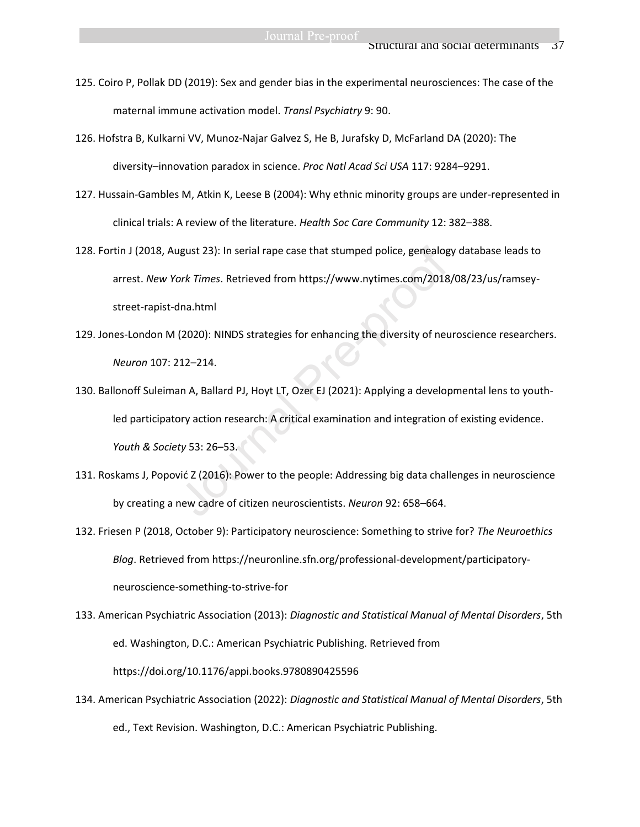- 125. Coiro P, Pollak DD (2019): Sex and gender bias in the experimental neurosciences: The case of the maternal immune activation model. *Transl Psychiatry* 9: 90.
- 126. Hofstra B, Kulkarni VV, Munoz-Najar Galvez S, He B, Jurafsky D, McFarland DA (2020): The diversity–innovation paradox in science. *Proc Natl Acad Sci USA* 117: 9284–9291.
- 127. Hussain-Gambles M, Atkin K, Leese B (2004): Why ethnic minority groups are under-represented in clinical trials: A review of the literature. *Health Soc Care Community* 12: 382–388.
- 128. Fortin J (2018, August 23): In serial rape case that stumped police, genealogy database leads to arrest. *New York Times*. Retrieved from https://www.nytimes.com/2018/08/23/us/ramseystreet-rapist-dna.html
- 129. Jones-London M (2020): NINDS strategies for enhancing the diversity of neuroscience researchers. *Neuron* 107: 212–214.
- 130. Ballonoff Suleiman A, Ballard PJ, Hoyt LT, Ozer EJ (2021): Applying a developmental lens to youthled participatory action research: A critical examination and integration of existing evidence. *Youth & Society* 53: 26–53. ugust 23): In serial rape case that stumped police, genealog<br>ork *Times*. Retrieved from https://www.nytimes.com/2018<br>dna.html<br>(2020): NINDS strategies for enhancing the diversity of neu<br>212–214.<br>an A, Ballard PJ, Hoyt LT,
- 131. Roskams J, Popović Z (2016): Power to the people: Addressing big data challenges in neuroscience by creating a new cadre of citizen neuroscientists. *Neuron* 92: 658–664.
- 132. Friesen P (2018, October 9): Participatory neuroscience: Something to strive for? *The Neuroethics Blog*. Retrieved from https://neuronline.sfn.org/professional-development/participatoryneuroscience-something-to-strive-for
- 133. American Psychiatric Association (2013): *Diagnostic and Statistical Manual of Mental Disorders*, 5th ed. Washington, D.C.: American Psychiatric Publishing. Retrieved from https://doi.org/10.1176/appi.books.9780890425596
- 134. American Psychiatric Association (2022): *Diagnostic and Statistical Manual of Mental Disorders*, 5th ed., Text Revision. Washington, D.C.: American Psychiatric Publishing.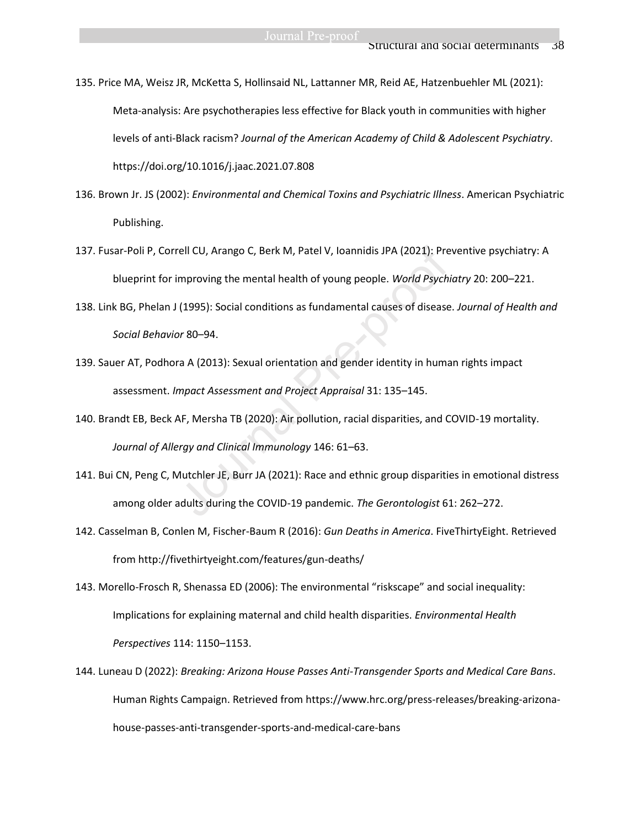135. Price MA, Weisz JR, McKetta S, Hollinsaid NL, Lattanner MR, Reid AE, Hatzenbuehler ML (2021): Meta-analysis: Are psychotherapies less effective for Black youth in communities with higher levels of anti-Black racism? *Journal of the American Academy of Child & Adolescent Psychiatry*. https://doi.org/10.1016/j.jaac.2021.07.808

- 136. Brown Jr. JS (2002): *Environmental and Chemical Toxins and Psychiatric Illness*. American Psychiatric Publishing.
- 137. Fusar‐Poli P, Correll CU, Arango C, Berk M, Patel V, Ioannidis JPA (2021): Preventive psychiatry: A blueprint for improving the mental health of young people. *World Psychiatry* 20: 200–221. rell CU, Arango C, Berk M, Patel V, Ioannidis JPA (2021): Pre<br>mproving the mental health of young people. *World Psych*<br>(1995): Social conditions as fundamental causes of disease<br>or 80–94.<br>ra A (2013): Sexual orientation a
- 138. Link BG, Phelan J (1995): Social conditions as fundamental causes of disease. *Journal of Health and Social Behavior* 80–94.
- 139. Sauer AT, Podhora A (2013): Sexual orientation and gender identity in human rights impact assessment. *Impact Assessment and Project Appraisal* 31: 135–145.
- 140. Brandt EB, Beck AF, Mersha TB (2020): Air pollution, racial disparities, and COVID-19 mortality. *Journal of Allergy and Clinical Immunology* 146: 61–63.
- 141. Bui CN, Peng C, Mutchler JE, Burr JA (2021): Race and ethnic group disparities in emotional distress among older adults during the COVID-19 pandemic. *The Gerontologist* 61: 262–272.
- 142. Casselman B, Conlen M, Fischer-Baum R (2016): *Gun Deaths in America*. FiveThirtyEight. Retrieved from http://fivethirtyeight.com/features/gun-deaths/
- 143. Morello-Frosch R, Shenassa ED (2006): The environmental "riskscape" and social inequality: Implications for explaining maternal and child health disparities. *Environmental Health Perspectives* 114: 1150–1153.
- 144. Luneau D (2022): *Breaking: Arizona House Passes Anti-Transgender Sports and Medical Care Bans*. Human Rights Campaign. Retrieved from https://www.hrc.org/press-releases/breaking-arizonahouse-passes-anti-transgender-sports-and-medical-care-bans